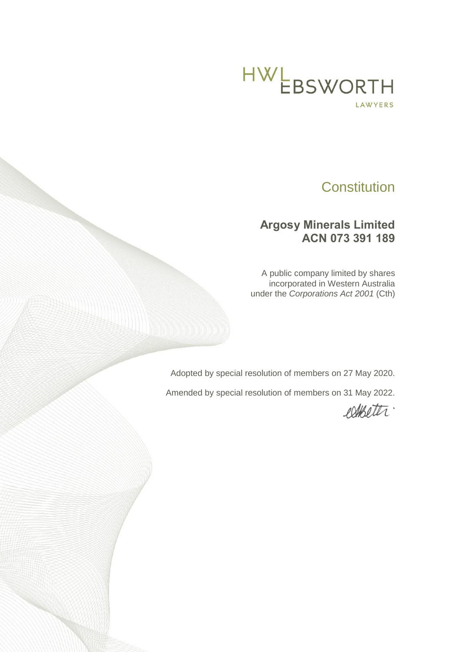

# **Constitution**

# **Argosy Minerals Limited ACN 073 391 189**

A public company limited by shares incorporated in Western Australia under the *Corporations Act 2001* (Cth)

Adopted by special resolution of members on 27 May 2020.

Amended by special resolution of members on 31 May 2022.

esterter.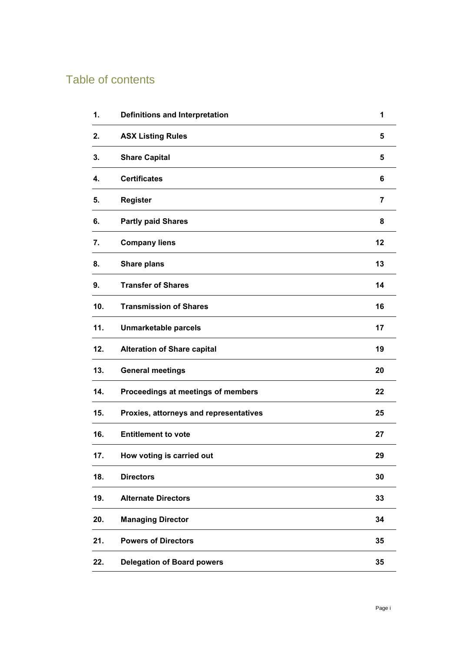# Table of contents

| 1.  | <b>Definitions and Interpretation</b>  | 1              |
|-----|----------------------------------------|----------------|
| 2.  | <b>ASX Listing Rules</b>               | 5              |
| 3.  | <b>Share Capital</b>                   | 5              |
| 4.  | <b>Certificates</b>                    | 6              |
| 5.  | <b>Register</b>                        | $\overline{7}$ |
| 6.  | <b>Partly paid Shares</b>              | 8              |
| 7.  | <b>Company liens</b>                   | 12             |
| 8.  | <b>Share plans</b>                     | 13             |
| 9.  | <b>Transfer of Shares</b>              | 14             |
| 10. | <b>Transmission of Shares</b>          | 16             |
| 11. | <b>Unmarketable parcels</b>            | 17             |
| 12. | <b>Alteration of Share capital</b>     | 19             |
| 13. | <b>General meetings</b>                | 20             |
| 14. | Proceedings at meetings of members     | 22             |
| 15. | Proxies, attorneys and representatives | 25             |
| 16. | <b>Entitlement to vote</b>             | 27             |
| 17. | How voting is carried out              | 29             |
| 18. | <b>Directors</b>                       | 30             |
| 19. | <b>Alternate Directors</b>             | 33             |
| 20. | <b>Managing Director</b>               | 34             |
| 21. | <b>Powers of Directors</b>             | 35             |
| 22. | <b>Delegation of Board powers</b>      | 35             |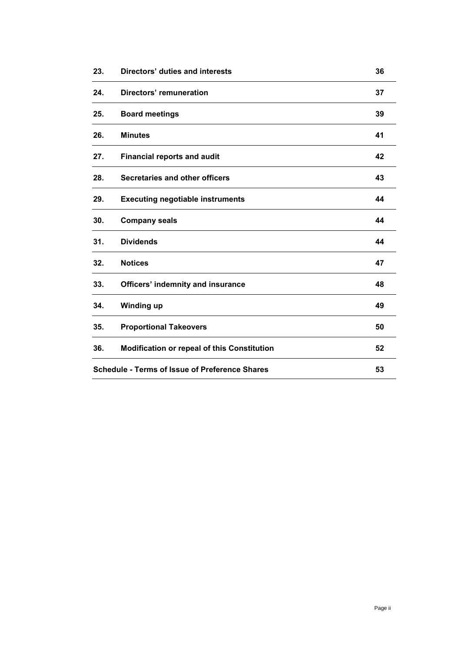| 23. | Directors' duties and interests                       | 36 |
|-----|-------------------------------------------------------|----|
| 24. | Directors' remuneration                               | 37 |
| 25. | <b>Board meetings</b>                                 | 39 |
| 26. | <b>Minutes</b>                                        | 41 |
| 27. | <b>Financial reports and audit</b>                    | 42 |
| 28. | <b>Secretaries and other officers</b>                 | 43 |
| 29. | <b>Executing negotiable instruments</b>               | 44 |
| 30. | <b>Company seals</b>                                  | 44 |
| 31. | <b>Dividends</b>                                      | 44 |
| 32. | <b>Notices</b>                                        | 47 |
| 33. | <b>Officers' indemnity and insurance</b>              | 48 |
| 34. | <b>Winding up</b>                                     | 49 |
| 35. | <b>Proportional Takeovers</b>                         | 50 |
| 36. | <b>Modification or repeal of this Constitution</b>    | 52 |
|     | <b>Schedule - Terms of Issue of Preference Shares</b> | 53 |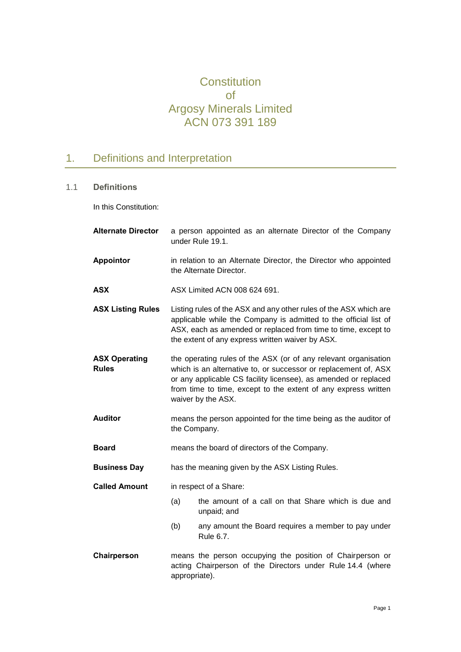# **Constitution** of Argosy Minerals Limited ACN 073 391 189

# <span id="page-3-0"></span>1. Definitions and Interpretation

## 1.1 **Definitions**

In this Constitution:

| <b>Alternate Director</b>            |               | a person appointed as an alternate Director of the Company<br>under Rule 19.1.                                                                                                                                                                                                                |
|--------------------------------------|---------------|-----------------------------------------------------------------------------------------------------------------------------------------------------------------------------------------------------------------------------------------------------------------------------------------------|
| <b>Appointor</b>                     |               | in relation to an Alternate Director, the Director who appointed<br>the Alternate Director.                                                                                                                                                                                                   |
| ASX                                  |               | ASX Limited ACN 008 624 691.                                                                                                                                                                                                                                                                  |
| <b>ASX Listing Rules</b>             |               | Listing rules of the ASX and any other rules of the ASX which are<br>applicable while the Company is admitted to the official list of<br>ASX, each as amended or replaced from time to time, except to<br>the extent of any express written waiver by ASX.                                    |
| <b>ASX Operating</b><br><b>Rules</b> |               | the operating rules of the ASX (or of any relevant organisation<br>which is an alternative to, or successor or replacement of, ASX<br>or any applicable CS facility licensee), as amended or replaced<br>from time to time, except to the extent of any express written<br>waiver by the ASX. |
| <b>Auditor</b>                       | the Company.  | means the person appointed for the time being as the auditor of                                                                                                                                                                                                                               |
| <b>Board</b>                         |               | means the board of directors of the Company.                                                                                                                                                                                                                                                  |
| <b>Business Day</b>                  |               | has the meaning given by the ASX Listing Rules.                                                                                                                                                                                                                                               |
| <b>Called Amount</b>                 |               | in respect of a Share:                                                                                                                                                                                                                                                                        |
|                                      | (a)           | the amount of a call on that Share which is due and<br>unpaid; and                                                                                                                                                                                                                            |
|                                      | (b)           | any amount the Board requires a member to pay under<br>Rule 6.7.                                                                                                                                                                                                                              |
| Chairperson                          | appropriate). | means the person occupying the position of Chairperson or<br>acting Chairperson of the Directors under Rule 14.4 (where                                                                                                                                                                       |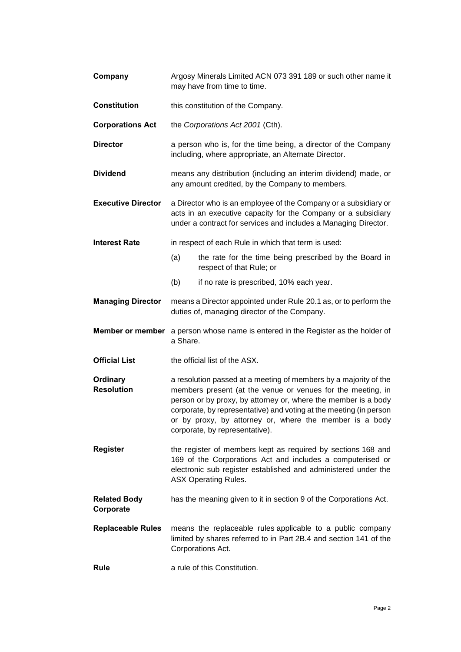| Company                          | Argosy Minerals Limited ACN 073 391 189 or such other name it<br>may have from time to time.                                                                                                                                                                                                                                                                         |  |  |
|----------------------------------|----------------------------------------------------------------------------------------------------------------------------------------------------------------------------------------------------------------------------------------------------------------------------------------------------------------------------------------------------------------------|--|--|
| <b>Constitution</b>              | this constitution of the Company.                                                                                                                                                                                                                                                                                                                                    |  |  |
| <b>Corporations Act</b>          | the Corporations Act 2001 (Cth).                                                                                                                                                                                                                                                                                                                                     |  |  |
| <b>Director</b>                  | a person who is, for the time being, a director of the Company<br>including, where appropriate, an Alternate Director.                                                                                                                                                                                                                                               |  |  |
| <b>Dividend</b>                  | means any distribution (including an interim dividend) made, or<br>any amount credited, by the Company to members.                                                                                                                                                                                                                                                   |  |  |
| <b>Executive Director</b>        | a Director who is an employee of the Company or a subsidiary or<br>acts in an executive capacity for the Company or a subsidiary<br>under a contract for services and includes a Managing Director.                                                                                                                                                                  |  |  |
| <b>Interest Rate</b>             | in respect of each Rule in which that term is used:                                                                                                                                                                                                                                                                                                                  |  |  |
|                                  | (a)<br>the rate for the time being prescribed by the Board in<br>respect of that Rule; or                                                                                                                                                                                                                                                                            |  |  |
|                                  | (b)<br>if no rate is prescribed, 10% each year.                                                                                                                                                                                                                                                                                                                      |  |  |
| <b>Managing Director</b>         | means a Director appointed under Rule 20.1 as, or to perform the<br>duties of, managing director of the Company.                                                                                                                                                                                                                                                     |  |  |
|                                  |                                                                                                                                                                                                                                                                                                                                                                      |  |  |
| <b>Member or member</b>          | a person whose name is entered in the Register as the holder of<br>a Share.                                                                                                                                                                                                                                                                                          |  |  |
| <b>Official List</b>             | the official list of the ASX.                                                                                                                                                                                                                                                                                                                                        |  |  |
| Ordinary<br><b>Resolution</b>    | a resolution passed at a meeting of members by a majority of the<br>members present (at the venue or venues for the meeting, in<br>person or by proxy, by attorney or, where the member is a body<br>corporate, by representative) and voting at the meeting (in person<br>or by proxy, by attorney or, where the member is a body<br>corporate, by representative). |  |  |
| Register                         | the register of members kept as required by sections 168 and<br>169 of the Corporations Act and includes a computerised or<br>electronic sub register established and administered under the<br><b>ASX Operating Rules.</b>                                                                                                                                          |  |  |
| <b>Related Body</b><br>Corporate | has the meaning given to it in section 9 of the Corporations Act.                                                                                                                                                                                                                                                                                                    |  |  |
| <b>Replaceable Rules</b>         | means the replaceable rules applicable to a public company<br>limited by shares referred to in Part 2B.4 and section 141 of the<br>Corporations Act.                                                                                                                                                                                                                 |  |  |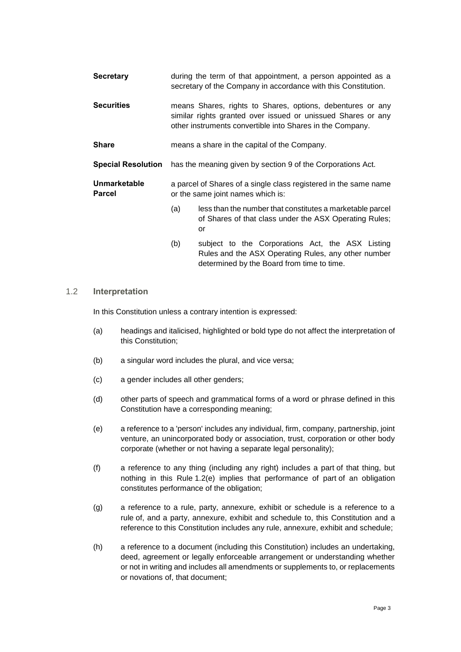| <b>Secretary</b>              |                                                             | during the term of that appointment, a person appointed as a<br>secretary of the Company in accordance with this Constitution.                                                          |  |
|-------------------------------|-------------------------------------------------------------|-----------------------------------------------------------------------------------------------------------------------------------------------------------------------------------------|--|
| <b>Securities</b>             |                                                             | means Shares, rights to Shares, options, debentures or any<br>similar rights granted over issued or unissued Shares or any<br>other instruments convertible into Shares in the Company. |  |
| <b>Share</b>                  | means a share in the capital of the Company.                |                                                                                                                                                                                         |  |
| <b>Special Resolution</b>     | has the meaning given by section 9 of the Corporations Act. |                                                                                                                                                                                         |  |
| <b>Unmarketable</b><br>Parcel |                                                             | a parcel of Shares of a single class registered in the same name<br>or the same joint names which is:                                                                                   |  |
|                               | (a)                                                         | less than the number that constitutes a marketable parcel<br>of Shares of that class under the ASX Operating Rules;<br>or                                                               |  |
|                               | (b)                                                         | subject to the Corporations Act, the ASX Listing<br>Rules and the ASX Operating Rules, any other number                                                                                 |  |

#### 1.2 **Interpretation**

In this Constitution unless a contrary intention is expressed:

(a) headings and italicised, highlighted or bold type do not affect the interpretation of this Constitution;

determined by the Board from time to time.

- (b) a singular word includes the plural, and vice versa;
- (c) a gender includes all other genders;
- (d) other parts of speech and grammatical forms of a word or phrase defined in this Constitution have a corresponding meaning;
- <span id="page-5-0"></span>(e) a reference to a 'person' includes any individual, firm, company, partnership, joint venture, an unincorporated body or association, trust, corporation or other body corporate (whether or not having a separate legal personality);
- (f) a reference to any thing (including any right) includes a part of that thing, but nothing in this Rule [1.2\(e\)](#page-5-0) implies that performance of part of an obligation constitutes performance of the obligation;
- (g) a reference to a rule, party, annexure, exhibit or schedule is a reference to a rule of, and a party, annexure, exhibit and schedule to, this Constitution and a reference to this Constitution includes any rule, annexure, exhibit and schedule;
- (h) a reference to a document (including this Constitution) includes an undertaking, deed, agreement or legally enforceable arrangement or understanding whether or not in writing and includes all amendments or supplements to, or replacements or novations of, that document;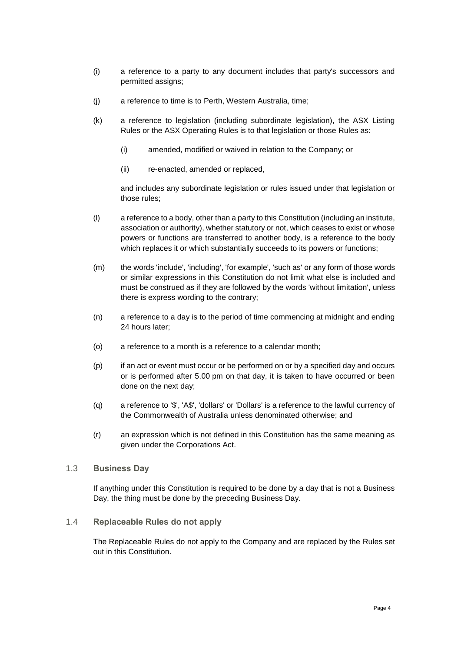- (i) a reference to a party to any document includes that party's successors and permitted assigns;
- (j) a reference to time is to Perth, Western Australia, time;
- (k) a reference to legislation (including subordinate legislation), the ASX Listing Rules or the ASX Operating Rules is to that legislation or those Rules as:
	- (i) amended, modified or waived in relation to the Company; or
	- (ii) re-enacted, amended or replaced,

and includes any subordinate legislation or rules issued under that legislation or those rules;

- (l) a reference to a body, other than a party to this Constitution (including an institute, association or authority), whether statutory or not, which ceases to exist or whose powers or functions are transferred to another body, is a reference to the body which replaces it or which substantially succeeds to its powers or functions;
- (m) the words 'include', 'including', 'for example', 'such as' or any form of those words or similar expressions in this Constitution do not limit what else is included and must be construed as if they are followed by the words 'without limitation', unless there is express wording to the contrary;
- (n) a reference to a day is to the period of time commencing at midnight and ending 24 hours later;
- (o) a reference to a month is a reference to a calendar month;
- (p) if an act or event must occur or be performed on or by a specified day and occurs or is performed after 5.00 pm on that day, it is taken to have occurred or been done on the next day;
- (q) a reference to '\$', 'A\$', 'dollars' or 'Dollars' is a reference to the lawful currency of the Commonwealth of Australia unless denominated otherwise; and
- (r) an expression which is not defined in this Constitution has the same meaning as given under the Corporations Act.
- 1.3 **Business Day**

If anything under this Constitution is required to be done by a day that is not a Business Day, the thing must be done by the preceding Business Day.

1.4 **Replaceable Rules do not apply**

The Replaceable Rules do not apply to the Company and are replaced by the Rules set out in this Constitution.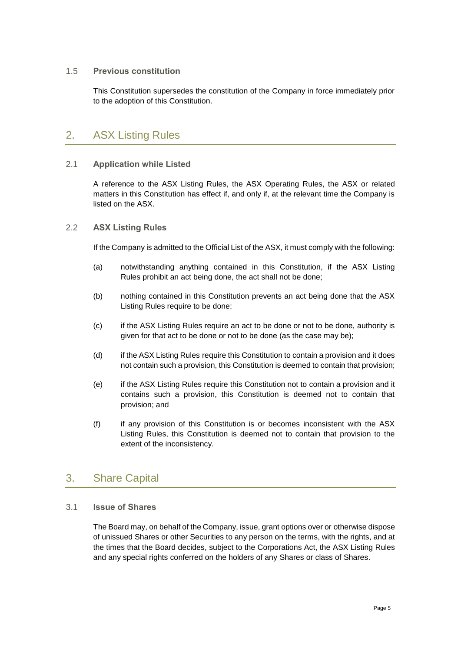### 1.5 **Previous constitution**

This Constitution supersedes the constitution of the Company in force immediately prior to the adoption of this Constitution.

## <span id="page-7-0"></span>2. ASX Listing Rules

### 2.1 **Application while Listed**

A reference to the ASX Listing Rules, the ASX Operating Rules, the ASX or related matters in this Constitution has effect if, and only if, at the relevant time the Company is listed on the ASX.

### 2.2 **ASX Listing Rules**

If the Company is admitted to the Official List of the ASX, it must comply with the following:

- (a) notwithstanding anything contained in this Constitution, if the ASX Listing Rules prohibit an act being done, the act shall not be done;
- (b) nothing contained in this Constitution prevents an act being done that the ASX Listing Rules require to be done;
- (c) if the ASX Listing Rules require an act to be done or not to be done, authority is given for that act to be done or not to be done (as the case may be);
- (d) if the ASX Listing Rules require this Constitution to contain a provision and it does not contain such a provision, this Constitution is deemed to contain that provision;
- (e) if the ASX Listing Rules require this Constitution not to contain a provision and it contains such a provision, this Constitution is deemed not to contain that provision; and
- (f) if any provision of this Constitution is or becomes inconsistent with the ASX Listing Rules, this Constitution is deemed not to contain that provision to the extent of the inconsistency.

## <span id="page-7-1"></span>3. Share Capital

### 3.1 **Issue of Shares**

The Board may, on behalf of the Company, issue, grant options over or otherwise dispose of unissued Shares or other Securities to any person on the terms, with the rights, and at the times that the Board decides, subject to the Corporations Act, the ASX Listing Rules and any special rights conferred on the holders of any Shares or class of Shares.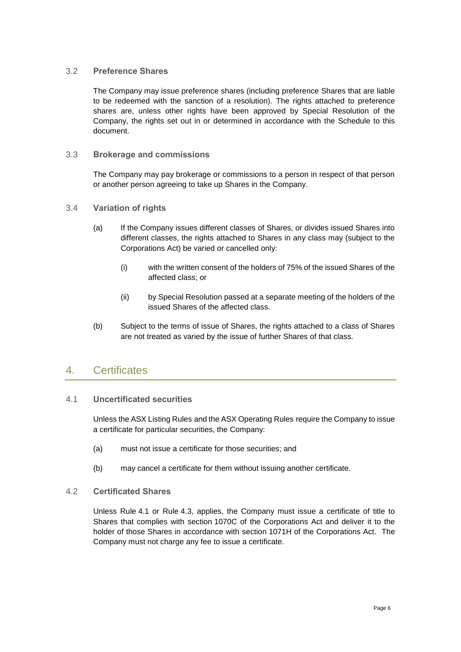### <span id="page-8-2"></span>3.2 **Preference Shares**

The Company may issue preference shares (including preference Shares that are liable to be redeemed with the sanction of a resolution). The rights attached to preference shares are, unless other rights have been approved by Special Resolution of the Company, the rights set out in or determined in accordance with the Schedule to this document.

### 3.3 **Brokerage and commissions**

The Company may pay brokerage or commissions to a person in respect of that person or another person agreeing to take up Shares in the Company.

- <span id="page-8-3"></span>3.4 **Variation of rights**
	- (a) If the Company issues different classes of Shares, or divides issued Shares into different classes, the rights attached to Shares in any class may (subject to the Corporations Act) be varied or cancelled only:
		- (i) with the written consent of the holders of 75% of the issued Shares of the affected class; or
		- (ii) by Special Resolution passed at a separate meeting of the holders of the issued Shares of the affected class.
	- (b) Subject to the terms of issue of Shares, the rights attached to a class of Shares are not treated as varied by the issue of further Shares of that class.

## <span id="page-8-0"></span>4. Certificates

## <span id="page-8-1"></span>4.1 **Uncertificated securities**

Unless the ASX Listing Rules and the ASX Operating Rules require the Company to issue a certificate for particular securities, the Company:

- (a) must not issue a certificate for those securities; and
- (b) may cancel a certificate for them without issuing another certificate.

### 4.2 **Certificated Shares**

Unless Rule [4.1](#page-8-1) or Rule [4.3,](#page-9-1) applies, the Company must issue a certificate of title to Shares that complies with section 1070C of the Corporations Act and deliver it to the holder of those Shares in accordance with section 1071H of the Corporations Act. The Company must not charge any fee to issue a certificate.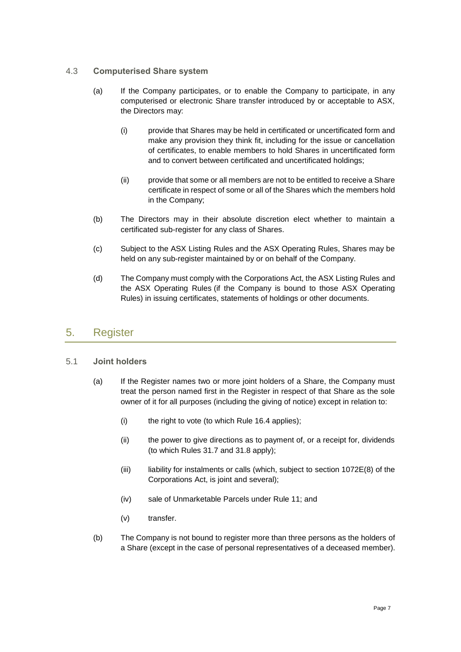### <span id="page-9-1"></span>4.3 **Computerised Share system**

- (a) If the Company participates, or to enable the Company to participate, in any computerised or electronic Share transfer introduced by or acceptable to ASX, the Directors may:
	- (i) provide that Shares may be held in certificated or uncertificated form and make any provision they think fit, including for the issue or cancellation of certificates, to enable members to hold Shares in uncertificated form and to convert between certificated and uncertificated holdings;
	- (ii) provide that some or all members are not to be entitled to receive a Share certificate in respect of some or all of the Shares which the members hold in the Company;
- (b) The Directors may in their absolute discretion elect whether to maintain a certificated sub-register for any class of Shares.
- (c) Subject to the ASX Listing Rules and the ASX Operating Rules, Shares may be held on any sub-register maintained by or on behalf of the Company.
- (d) The Company must comply with the Corporations Act, the ASX Listing Rules and the ASX Operating Rules (if the Company is bound to those ASX Operating Rules) in issuing certificates, statements of holdings or other documents.

## <span id="page-9-0"></span>5. Register

### 5.1 **Joint holders**

- (a) If the Register names two or more joint holders of a Share, the Company must treat the person named first in the Register in respect of that Share as the sole owner of it for all purposes (including the giving of notice) except in relation to:
	- (i) the right to vote (to which Rule [16.4](#page-30-0) applies);
	- (ii) the power to give directions as to payment of, or a receipt for, dividends (to which Rules [31.7](#page-48-0) and [31.8](#page-48-1) apply);
	- (iii) liability for instalments or calls (which, subject to section 1072E(8) of the Corporations Act, is joint and several);
	- (iv) sale of Unmarketable Parcels under Rule [11;](#page-19-0) and
	- (v) transfer.
- (b) The Company is not bound to register more than three persons as the holders of a Share (except in the case of personal representatives of a deceased member).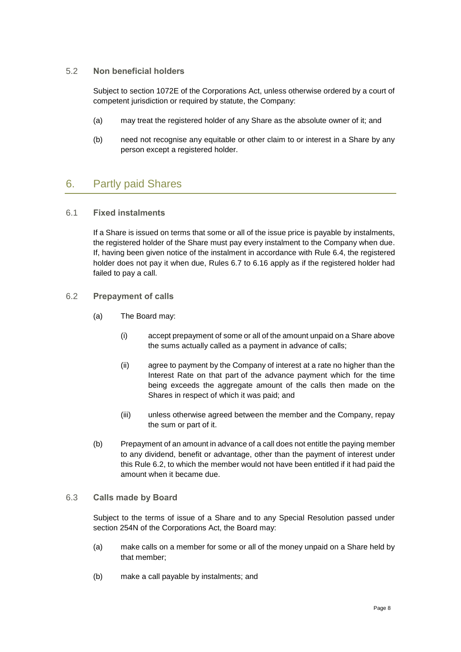### 5.2 **Non beneficial holders**

Subject to section 1072E of the Corporations Act, unless otherwise ordered by a court of competent jurisdiction or required by statute, the Company:

- (a) may treat the registered holder of any Share as the absolute owner of it; and
- (b) need not recognise any equitable or other claim to or interest in a Share by any person except a registered holder.

## <span id="page-10-0"></span>6. Partly paid Shares

## 6.1 **Fixed instalments**

If a Share is issued on terms that some or all of the issue price is payable by instalments, the registered holder of the Share must pay every instalment to the Company when due. If, having been given notice of the instalment in accordance with Rule [6.4,](#page-11-1) the registered holder does not pay it when due, Rules [6.7](#page-11-0) to [6.16](#page-13-0) apply as if the registered holder had failed to pay a call.

## <span id="page-10-1"></span>6.2 **Prepayment of calls**

- (a) The Board may:
	- (i) accept prepayment of some or all of the amount unpaid on a Share above the sums actually called as a payment in advance of calls;
	- (ii) agree to payment by the Company of interest at a rate no higher than the Interest Rate on that part of the advance payment which for the time being exceeds the aggregate amount of the calls then made on the Shares in respect of which it was paid; and
	- (iii) unless otherwise agreed between the member and the Company, repay the sum or part of it.
- (b) Prepayment of an amount in advance of a call does not entitle the paying member to any dividend, benefit or advantage, other than the payment of interest under this Rule [6.2,](#page-10-1) to which the member would not have been entitled if it had paid the amount when it became due.

### 6.3 **Calls made by Board**

Subject to the terms of issue of a Share and to any Special Resolution passed under section 254N of the Corporations Act, the Board may:

- (a) make calls on a member for some or all of the money unpaid on a Share held by that member;
- (b) make a call payable by instalments; and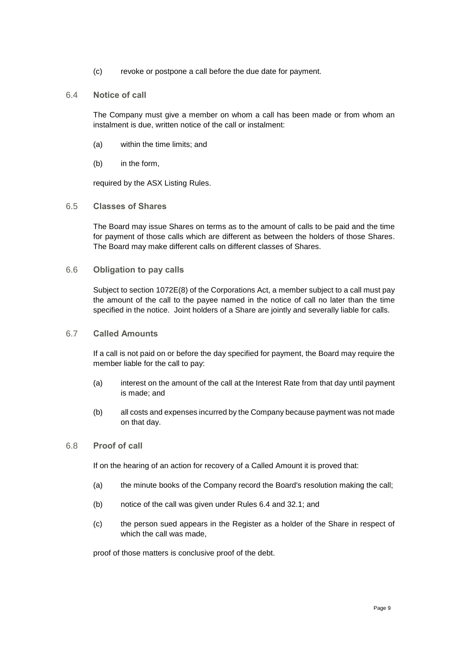- (c) revoke or postpone a call before the due date for payment.
- <span id="page-11-1"></span>6.4 **Notice of call**

The Company must give a member on whom a call has been made or from whom an instalment is due, written notice of the call or instalment:

- (a) within the time limits; and
- (b) in the form,

required by the ASX Listing Rules.

6.5 **Classes of Shares**

The Board may issue Shares on terms as to the amount of calls to be paid and the time for payment of those calls which are different as between the holders of those Shares. The Board may make different calls on different classes of Shares.

6.6 **Obligation to pay calls**

Subject to section 1072E(8) of the Corporations Act, a member subject to a call must pay the amount of the call to the payee named in the notice of call no later than the time specified in the notice. Joint holders of a Share are jointly and severally liable for calls.

<span id="page-11-0"></span>6.7 **Called Amounts**

If a call is not paid on or before the day specified for payment, the Board may require the member liable for the call to pay:

- (a) interest on the amount of the call at the Interest Rate from that day until payment is made; and
- (b) all costs and expenses incurred by the Company because payment was not made on that day.
- 6.8 **Proof of call**

If on the hearing of an action for recovery of a Called Amount it is proved that:

- (a) the minute books of the Company record the Board's resolution making the call;
- (b) notice of the call was given under Rules [6.4](#page-11-1) and [32.1;](#page-49-1) and
- (c) the person sued appears in the Register as a holder of the Share in respect of which the call was made,

proof of those matters is conclusive proof of the debt.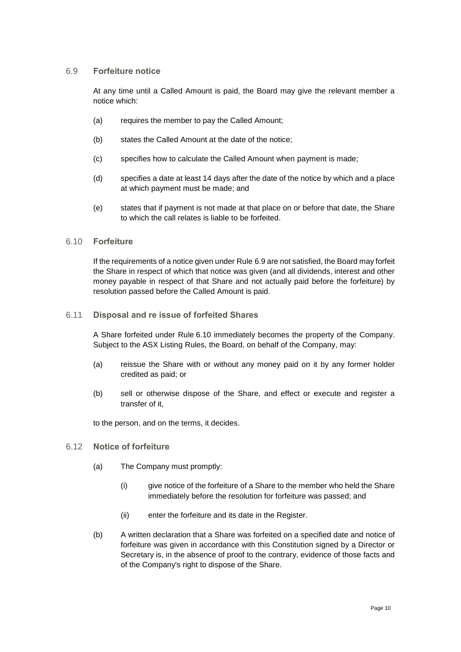### <span id="page-12-0"></span>6.9 **Forfeiture notice**

At any time until a Called Amount is paid, the Board may give the relevant member a notice which:

- (a) requires the member to pay the Called Amount;
- (b) states the Called Amount at the date of the notice;
- (c) specifies how to calculate the Called Amount when payment is made;
- (d) specifies a date at least 14 days after the date of the notice by which and a place at which payment must be made; and
- (e) states that if payment is not made at that place on or before that date, the Share to which the call relates is liable to be forfeited.

#### <span id="page-12-1"></span>6.10 **Forfeiture**

If the requirements of a notice given under Rule [6.9](#page-12-0) are not satisfied, the Board may forfeit the Share in respect of which that notice was given (and all dividends, interest and other money payable in respect of that Share and not actually paid before the forfeiture) by resolution passed before the Called Amount is paid.

#### <span id="page-12-2"></span>6.11 **Disposal and re issue of forfeited Shares**

A Share forfeited under Rule [6.10](#page-12-1) immediately becomes the property of the Company. Subject to the ASX Listing Rules, the Board, on behalf of the Company, may:

- (a) reissue the Share with or without any money paid on it by any former holder credited as paid; or
- (b) sell or otherwise dispose of the Share, and effect or execute and register a transfer of it,

to the person, and on the terms, it decides.

### 6.12 **Notice of forfeiture**

- (a) The Company must promptly:
	- (i) give notice of the forfeiture of a Share to the member who held the Share immediately before the resolution for forfeiture was passed; and
	- (ii) enter the forfeiture and its date in the Register.
- (b) A written declaration that a Share was forfeited on a specified date and notice of forfeiture was given in accordance with this Constitution signed by a Director or Secretary is, in the absence of proof to the contrary, evidence of those facts and of the Company's right to dispose of the Share.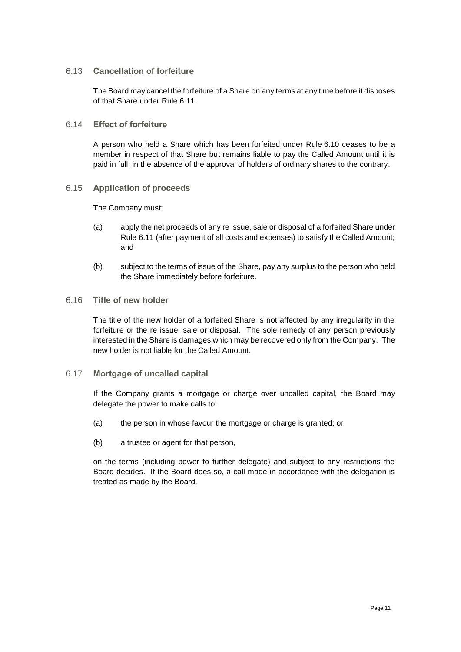### 6.13 **Cancellation of forfeiture**

The Board may cancel the forfeiture of a Share on any terms at any time before it disposes of that Share under Rule [6.11.](#page-12-2)

## 6.14 **Effect of forfeiture**

A person who held a Share which has been forfeited under Rule [6.10](#page-12-1) ceases to be a member in respect of that Share but remains liable to pay the Called Amount until it is paid in full, in the absence of the approval of holders of ordinary shares to the contrary.

## <span id="page-13-1"></span>6.15 **Application of proceeds**

The Company must:

- (a) apply the net proceeds of any re issue, sale or disposal of a forfeited Share under Rule [6.11](#page-12-2) (after payment of all costs and expenses) to satisfy the Called Amount; and
- (b) subject to the terms of issue of the Share, pay any surplus to the person who held the Share immediately before forfeiture.

### <span id="page-13-0"></span>6.16 **Title of new holder**

The title of the new holder of a forfeited Share is not affected by any irregularity in the forfeiture or the re issue, sale or disposal. The sole remedy of any person previously interested in the Share is damages which may be recovered only from the Company. The new holder is not liable for the Called Amount.

### 6.17 **Mortgage of uncalled capital**

If the Company grants a mortgage or charge over uncalled capital, the Board may delegate the power to make calls to:

- (a) the person in whose favour the mortgage or charge is granted; or
- (b) a trustee or agent for that person,

on the terms (including power to further delegate) and subject to any restrictions the Board decides. If the Board does so, a call made in accordance with the delegation is treated as made by the Board.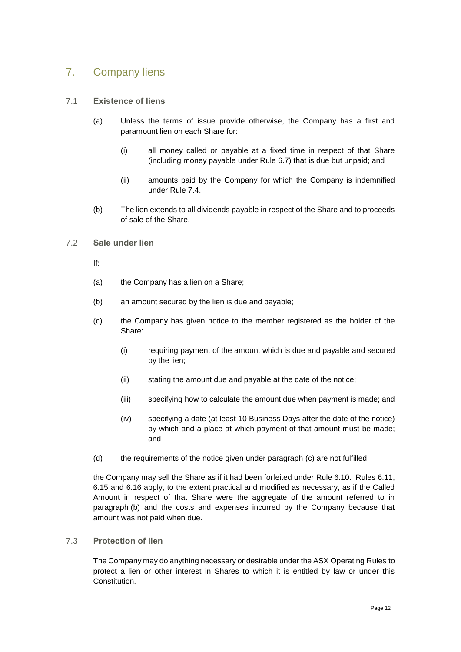## <span id="page-14-0"></span>7. Company liens

### 7.1 **Existence of liens**

- (a) Unless the terms of issue provide otherwise, the Company has a first and paramount lien on each Share for:
	- (i) all money called or payable at a fixed time in respect of that Share (including money payable under Rule [6.7\)](#page-11-0) that is due but unpaid; and
	- (ii) amounts paid by the Company for which the Company is indemnified under Rule [7.4.](#page-15-1)
- (b) The lien extends to all dividends payable in respect of the Share and to proceeds of sale of the Share.

## 7.2 **Sale under lien**

- If:
- (a) the Company has a lien on a Share;
- <span id="page-14-2"></span>(b) an amount secured by the lien is due and payable;
- <span id="page-14-1"></span>(c) the Company has given notice to the member registered as the holder of the Share:
	- (i) requiring payment of the amount which is due and payable and secured by the lien;
	- (ii) stating the amount due and payable at the date of the notice;
	- (iii) specifying how to calculate the amount due when payment is made; and
	- (iv) specifying a date (at least 10 Business Days after the date of the notice) by which and a place at which payment of that amount must be made; and
- (d) the requirements of the notice given under paragraph [\(c\)](#page-14-1) are not fulfilled,

the Company may sell the Share as if it had been forfeited under Rule [6.10.](#page-12-1) Rules [6.11,](#page-12-2) [6.15](#page-13-1) and [6.16](#page-13-0) apply, to the extent practical and modified as necessary, as if the Called Amount in respect of that Share were the aggregate of the amount referred to in paragraph [\(b\)](#page-14-2) and the costs and expenses incurred by the Company because that amount was not paid when due.

### 7.3 **Protection of lien**

The Company may do anything necessary or desirable under the ASX Operating Rules to protect a lien or other interest in Shares to which it is entitled by law or under this Constitution.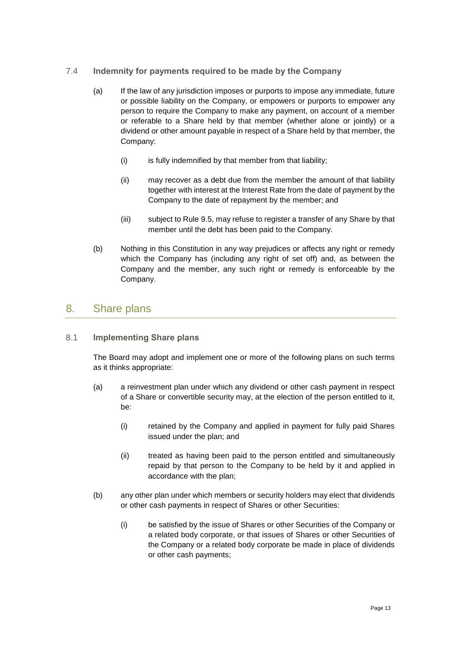## <span id="page-15-1"></span>7.4 **Indemnity for payments required to be made by the Company**

- (a) If the law of any jurisdiction imposes or purports to impose any immediate, future or possible liability on the Company, or empowers or purports to empower any person to require the Company to make any payment, on account of a member or referable to a Share held by that member (whether alone or jointly) or a dividend or other amount payable in respect of a Share held by that member, the Company:
	- (i) is fully indemnified by that member from that liability;
	- (ii) may recover as a debt due from the member the amount of that liability together with interest at the Interest Rate from the date of payment by the Company to the date of repayment by the member; and
	- (iii) subject to Rule [9.5,](#page-17-0) may refuse to register a transfer of any Share by that member until the debt has been paid to the Company.
- (b) Nothing in this Constitution in any way prejudices or affects any right or remedy which the Company has (including any right of set off) and, as between the Company and the member, any such right or remedy is enforceable by the Company.

## <span id="page-15-0"></span>8. Share plans

## <span id="page-15-2"></span>8.1 **Implementing Share plans**

The Board may adopt and implement one or more of the following plans on such terms as it thinks appropriate:

- (a) a reinvestment plan under which any dividend or other cash payment in respect of a Share or convertible security may, at the election of the person entitled to it, be:
	- (i) retained by the Company and applied in payment for fully paid Shares issued under the plan; and
	- (ii) treated as having been paid to the person entitled and simultaneously repaid by that person to the Company to be held by it and applied in accordance with the plan;
- (b) any other plan under which members or security holders may elect that dividends or other cash payments in respect of Shares or other Securities:
	- (i) be satisfied by the issue of Shares or other Securities of the Company or a related body corporate, or that issues of Shares or other Securities of the Company or a related body corporate be made in place of dividends or other cash payments;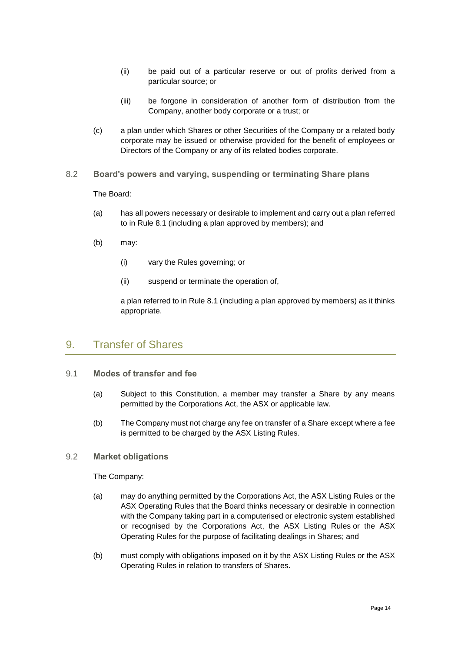- (ii) be paid out of a particular reserve or out of profits derived from a particular source; or
- (iii) be forgone in consideration of another form of distribution from the Company, another body corporate or a trust; or
- (c) a plan under which Shares or other Securities of the Company or a related body corporate may be issued or otherwise provided for the benefit of employees or Directors of the Company or any of its related bodies corporate.
- 8.2 **Board's powers and varying, suspending or terminating Share plans**

The Board:

- (a) has all powers necessary or desirable to implement and carry out a plan referred to in Rule [8.1](#page-15-2) (including a plan approved by members); and
- (b) may:
	- (i) vary the Rules governing; or
	- (ii) suspend or terminate the operation of,

a plan referred to in Rule [8.1](#page-15-2) (including a plan approved by members) as it thinks appropriate.

## <span id="page-16-0"></span>9. Transfer of Shares

- 9.1 **Modes of transfer and fee**
	- (a) Subject to this Constitution, a member may transfer a Share by any means permitted by the Corporations Act, the ASX or applicable law.
	- (b) The Company must not charge any fee on transfer of a Share except where a fee is permitted to be charged by the ASX Listing Rules.
- 9.2 **Market obligations**

The Company:

- (a) may do anything permitted by the Corporations Act, the ASX Listing Rules or the ASX Operating Rules that the Board thinks necessary or desirable in connection with the Company taking part in a computerised or electronic system established or recognised by the Corporations Act, the ASX Listing Rules or the ASX Operating Rules for the purpose of facilitating dealings in Shares; and
- (b) must comply with obligations imposed on it by the ASX Listing Rules or the ASX Operating Rules in relation to transfers of Shares.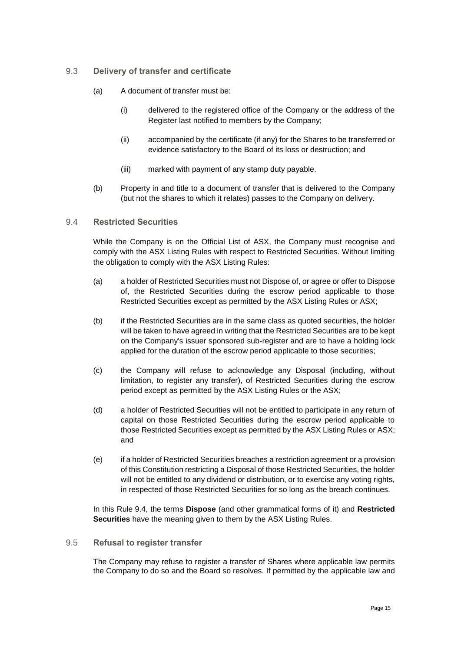## 9.3 **Delivery of transfer and certificate**

- (a) A document of transfer must be:
	- (i) delivered to the registered office of the Company or the address of the Register last notified to members by the Company;
	- (ii) accompanied by the certificate (if any) for the Shares to be transferred or evidence satisfactory to the Board of its loss or destruction; and
	- (iii) marked with payment of any stamp duty payable.
- (b) Property in and title to a document of transfer that is delivered to the Company (but not the shares to which it relates) passes to the Company on delivery.

#### <span id="page-17-1"></span>9.4 **Restricted Securities**

While the Company is on the Official List of ASX, the Company must recognise and comply with the ASX Listing Rules with respect to Restricted Securities. Without limiting the obligation to comply with the ASX Listing Rules:

- (a) a holder of Restricted Securities must not Dispose of, or agree or offer to Dispose of, the Restricted Securities during the escrow period applicable to those Restricted Securities except as permitted by the ASX Listing Rules or ASX;
- (b) if the Restricted Securities are in the same class as quoted securities, the holder will be taken to have agreed in writing that the Restricted Securities are to be kept on the Company's issuer sponsored sub-register and are to have a holding lock applied for the duration of the escrow period applicable to those securities;
- (c) the Company will refuse to acknowledge any Disposal (including, without limitation, to register any transfer), of Restricted Securities during the escrow period except as permitted by the ASX Listing Rules or the ASX;
- (d) a holder of Restricted Securities will not be entitled to participate in any return of capital on those Restricted Securities during the escrow period applicable to those Restricted Securities except as permitted by the ASX Listing Rules or ASX; and
- (e) if a holder of Restricted Securities breaches a restriction agreement or a provision of this Constitution restricting a Disposal of those Restricted Securities, the holder will not be entitled to any dividend or distribution, or to exercise any voting rights, in respected of those Restricted Securities for so long as the breach continues.

In this Rule [9.4,](#page-17-1) the terms **Dispose** (and other grammatical forms of it) and **Restricted Securities** have the meaning given to them by the ASX Listing Rules.

#### <span id="page-17-0"></span>9.5 **Refusal to register transfer**

The Company may refuse to register a transfer of Shares where applicable law permits the Company to do so and the Board so resolves. If permitted by the applicable law and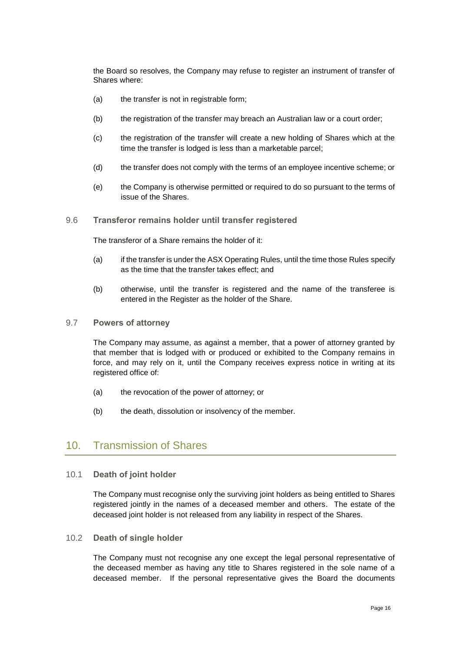the Board so resolves, the Company may refuse to register an instrument of transfer of Shares where:

- (a) the transfer is not in registrable form;
- (b) the registration of the transfer may breach an Australian law or a court order;
- (c) the registration of the transfer will create a new holding of Shares which at the time the transfer is lodged is less than a marketable parcel;
- (d) the transfer does not comply with the terms of an employee incentive scheme; or
- (e) the Company is otherwise permitted or required to do so pursuant to the terms of issue of the Shares.
- 9.6 **Transferor remains holder until transfer registered**

The transferor of a Share remains the holder of it:

- (a) if the transfer is under the ASX Operating Rules, until the time those Rules specify as the time that the transfer takes effect; and
- (b) otherwise, until the transfer is registered and the name of the transferee is entered in the Register as the holder of the Share.
- 9.7 **Powers of attorney**

The Company may assume, as against a member, that a power of attorney granted by that member that is lodged with or produced or exhibited to the Company remains in force, and may rely on it, until the Company receives express notice in writing at its registered office of:

- (a) the revocation of the power of attorney; or
- (b) the death, dissolution or insolvency of the member.

## <span id="page-18-0"></span>10. Transmission of Shares

10.1 **Death of joint holder**

The Company must recognise only the surviving joint holders as being entitled to Shares registered jointly in the names of a deceased member and others. The estate of the deceased joint holder is not released from any liability in respect of the Shares.

<span id="page-18-1"></span>10.2 **Death of single holder**

The Company must not recognise any one except the legal personal representative of the deceased member as having any title to Shares registered in the sole name of a deceased member. If the personal representative gives the Board the documents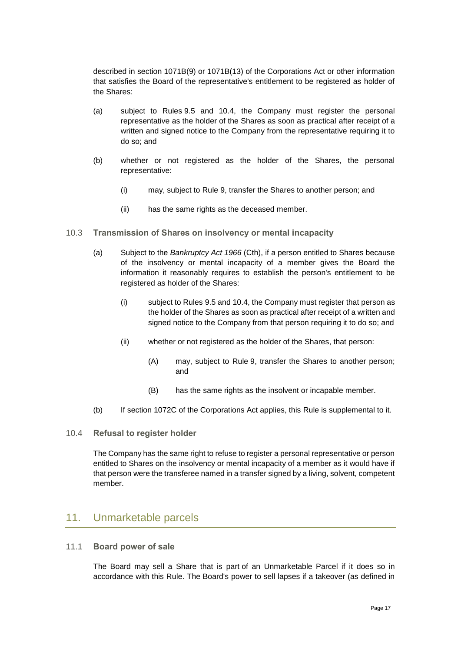described in section 1071B(9) or 1071B(13) of the Corporations Act or other information that satisfies the Board of the representative's entitlement to be registered as holder of the Shares:

- (a) subject to Rules [9.5](#page-17-0) and [10.4,](#page-19-1) the Company must register the personal representative as the holder of the Shares as soon as practical after receipt of a written and signed notice to the Company from the representative requiring it to do so; and
- (b) whether or not registered as the holder of the Shares, the personal representative:
	- (i) may, subject to Rule [9,](#page-16-0) transfer the Shares to another person; and
	- (ii) has the same rights as the deceased member.
- <span id="page-19-3"></span>10.3 **Transmission of Shares on insolvency or mental incapacity**
	- (a) Subject to the *Bankruptcy Act 1966* (Cth), if a person entitled to Shares because of the insolvency or mental incapacity of a member gives the Board the information it reasonably requires to establish the person's entitlement to be registered as holder of the Shares:
		- (i) subject to Rules [9.5](#page-17-0) an[d 10.4,](#page-19-1) the Company must register that person as the holder of the Shares as soon as practical after receipt of a written and signed notice to the Company from that person requiring it to do so; and
		- (ii) whether or not registered as the holder of the Shares, that person:
			- (A) may, subject to Rule [9,](#page-16-0) transfer the Shares to another person; and
			- (B) has the same rights as the insolvent or incapable member.
	- (b) If section 1072C of the Corporations Act applies, this Rule is supplemental to it.
- <span id="page-19-1"></span>10.4 **Refusal to register holder**

The Company has the same right to refuse to register a personal representative or person entitled to Shares on the insolvency or mental incapacity of a member as it would have if that person were the transferee named in a transfer signed by a living, solvent, competent member.

## <span id="page-19-0"></span>11. Unmarketable parcels

### <span id="page-19-2"></span>11.1 **Board power of sale**

The Board may sell a Share that is part of an Unmarketable Parcel if it does so in accordance with this Rule. The Board's power to sell lapses if a takeover (as defined in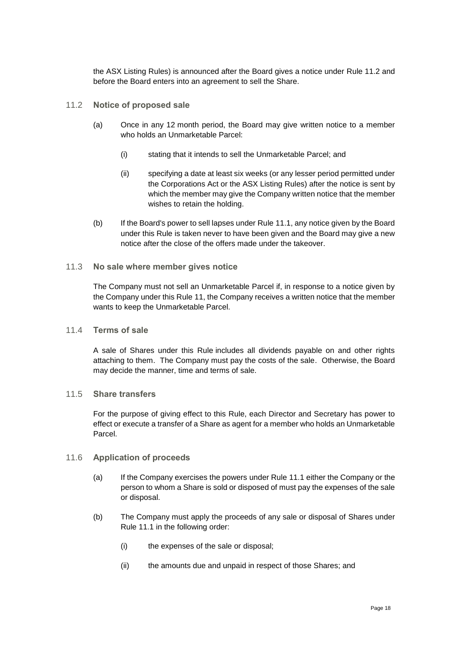the ASX Listing Rules) is announced after the Board gives a notice under Rule [11.2](#page-20-0) and before the Board enters into an agreement to sell the Share.

- <span id="page-20-0"></span>11.2 **Notice of proposed sale**
	- (a) Once in any 12 month period, the Board may give written notice to a member who holds an Unmarketable Parcel:
		- (i) stating that it intends to sell the Unmarketable Parcel; and
		- (ii) specifying a date at least six weeks (or any lesser period permitted under the Corporations Act or the ASX Listing Rules) after the notice is sent by which the member may give the Company written notice that the member wishes to retain the holding.
	- (b) If the Board's power to sell lapses under Rule [11.1,](#page-19-2) any notice given by the Board under this Rule is taken never to have been given and the Board may give a new notice after the close of the offers made under the takeover.
- 11.3 **No sale where member gives notice**

The Company must not sell an Unmarketable Parcel if, in response to a notice given by the Company under this Rule [11,](#page-19-0) the Company receives a written notice that the member wants to keep the Unmarketable Parcel.

11.4 **Terms of sale**

A sale of Shares under this Rule includes all dividends payable on and other rights attaching to them. The Company must pay the costs of the sale. Otherwise, the Board may decide the manner, time and terms of sale.

11.5 **Share transfers**

For the purpose of giving effect to this Rule, each Director and Secretary has power to effect or execute a transfer of a Share as agent for a member who holds an Unmarketable Parcel.

### 11.6 **Application of proceeds**

- (a) If the Company exercises the powers under Rule [11.1](#page-19-2) either the Company or the person to whom a Share is sold or disposed of must pay the expenses of the sale or disposal.
- (b) The Company must apply the proceeds of any sale or disposal of Shares under Rule [11.1](#page-19-2) in the following order:
	- (i) the expenses of the sale or disposal;
	- (ii) the amounts due and unpaid in respect of those Shares; and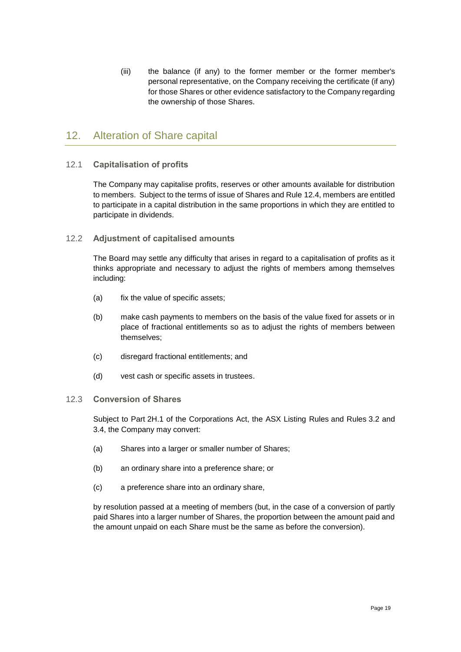(iii) the balance (if any) to the former member or the former member's personal representative, on the Company receiving the certificate (if any) for those Shares or other evidence satisfactory to the Company regarding the ownership of those Shares.

## <span id="page-21-0"></span>12. Alteration of Share capital

## <span id="page-21-1"></span>12.1 **Capitalisation of profits**

The Company may capitalise profits, reserves or other amounts available for distribution to members. Subject to the terms of issue of Shares and Rule [12.4,](#page-22-1) members are entitled to participate in a capital distribution in the same proportions in which they are entitled to participate in dividends.

## 12.2 **Adjustment of capitalised amounts**

The Board may settle any difficulty that arises in regard to a capitalisation of profits as it thinks appropriate and necessary to adjust the rights of members among themselves including:

- (a) fix the value of specific assets;
- (b) make cash payments to members on the basis of the value fixed for assets or in place of fractional entitlements so as to adjust the rights of members between themselves;
- (c) disregard fractional entitlements; and
- (d) vest cash or specific assets in trustees.

### 12.3 **Conversion of Shares**

Subject to Part 2H.1 of the Corporations Act, the ASX Listing Rules and Rules [3.2](#page-8-2) and [3.4,](#page-8-3) the Company may convert:

- (a) Shares into a larger or smaller number of Shares;
- (b) an ordinary share into a preference share; or
- (c) a preference share into an ordinary share,

by resolution passed at a meeting of members (but, in the case of a conversion of partly paid Shares into a larger number of Shares, the proportion between the amount paid and the amount unpaid on each Share must be the same as before the conversion).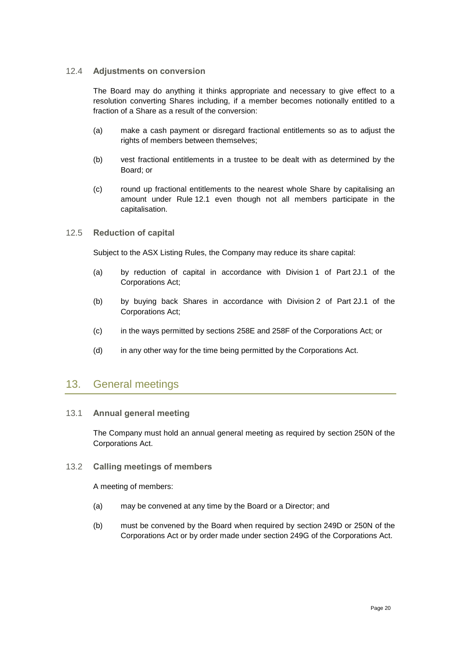### <span id="page-22-1"></span>12.4 **Adjustments on conversion**

The Board may do anything it thinks appropriate and necessary to give effect to a resolution converting Shares including, if a member becomes notionally entitled to a fraction of a Share as a result of the conversion:

- (a) make a cash payment or disregard fractional entitlements so as to adjust the rights of members between themselves;
- (b) vest fractional entitlements in a trustee to be dealt with as determined by the Board; or
- (c) round up fractional entitlements to the nearest whole Share by capitalising an amount under Rule [12.1](#page-21-1) even though not all members participate in the capitalisation.

### 12.5 **Reduction of capital**

Subject to the ASX Listing Rules, the Company may reduce its share capital:

- (a) by reduction of capital in accordance with Division 1 of Part 2J.1 of the Corporations Act;
- (b) by buying back Shares in accordance with Division 2 of Part 2J.1 of the Corporations Act;
- (c) in the ways permitted by sections 258E and 258F of the Corporations Act; or
- (d) in any other way for the time being permitted by the Corporations Act.

## <span id="page-22-0"></span>13. General meetings

### 13.1 **Annual general meeting**

The Company must hold an annual general meeting as required by section 250N of the Corporations Act.

13.2 **Calling meetings of members**

A meeting of members:

- (a) may be convened at any time by the Board or a Director; and
- (b) must be convened by the Board when required by section 249D or 250N of the Corporations Act or by order made under section 249G of the Corporations Act.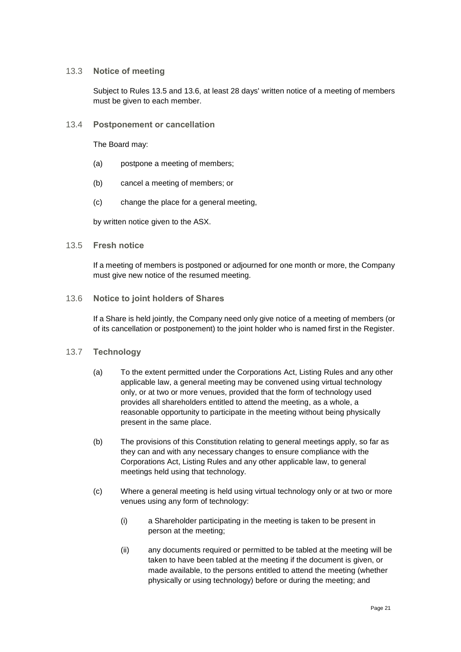### <span id="page-23-3"></span>13.3 **Notice of meeting**

Subject to Rules [13.5](#page-23-0) and [13.6,](#page-23-1) at least 28 days' written notice of a meeting of members must be given to each member.

13.4 **Postponement or cancellation**

The Board may:

- (a) postpone a meeting of members;
- (b) cancel a meeting of members; or
- (c) change the place for a general meeting,

by written notice given to the ASX.

#### <span id="page-23-0"></span>13.5 **Fresh notice**

If a meeting of members is postponed or adjourned for one month or more, the Company must give new notice of the resumed meeting.

#### <span id="page-23-1"></span>13.6 **Notice to joint holders of Shares**

If a Share is held jointly, the Company need only give notice of a meeting of members (or of its cancellation or postponement) to the joint holder who is named first in the Register.

### <span id="page-23-2"></span>13.7 **Technology**

- (a) To the extent permitted under the Corporations Act, Listing Rules and any other applicable law, a general meeting may be convened using virtual technology only, or at two or more venues, provided that the form of technology used provides all shareholders entitled to attend the meeting, as a whole, a reasonable opportunity to participate in the meeting without being physically present in the same place.
- (b) The provisions of this Constitution relating to general meetings apply, so far as they can and with any necessary changes to ensure compliance with the Corporations Act, Listing Rules and any other applicable law, to general meetings held using that technology.
- (c) Where a general meeting is held using virtual technology only or at two or more venues using any form of technology:
	- (i) a Shareholder participating in the meeting is taken to be present in person at the meeting;
	- (ii) any documents required or permitted to be tabled at the meeting will be taken to have been tabled at the meeting if the document is given, or made available, to the persons entitled to attend the meeting (whether physically or using technology) before or during the meeting; and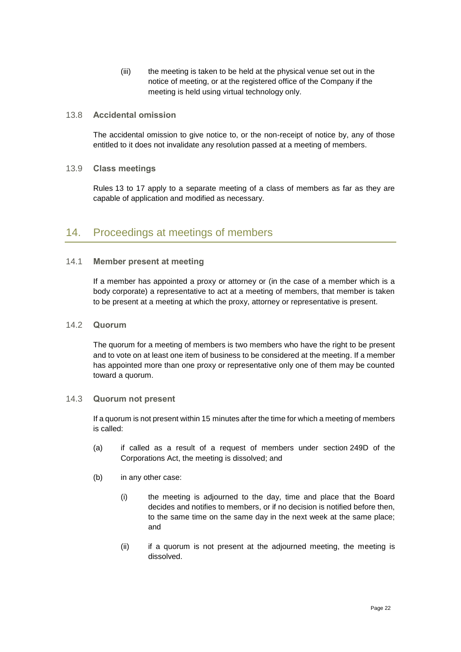(iii) the meeting is taken to be held at the physical venue set out in the notice of meeting, or at the registered office of the Company if the meeting is held using virtual technology only.

### 13.8 **Accidental omission**

The accidental omission to give notice to, or the non-receipt of notice by, any of those entitled to it does not invalidate any resolution passed at a meeting of members.

#### 13.9 **Class meetings**

Rules [13](#page-22-0) to [17](#page-31-0) apply to a separate meeting of a class of members as far as they are capable of application and modified as necessary.

## <span id="page-24-0"></span>14. Proceedings at meetings of members

### 14.1 **Member present at meeting**

If a member has appointed a proxy or attorney or (in the case of a member which is a body corporate) a representative to act at a meeting of members, that member is taken to be present at a meeting at which the proxy, attorney or representative is present.

#### 14.2 **Quorum**

The quorum for a meeting of members is two members who have the right to be present and to vote on at least one item of business to be considered at the meeting. If a member has appointed more than one proxy or representative only one of them may be counted toward a quorum.

#### 14.3 **Quorum not present**

If a quorum is not present within 15 minutes after the time for which a meeting of members is called:

- (a) if called as a result of a request of members under section 249D of the Corporations Act, the meeting is dissolved; and
- (b) in any other case:
	- (i) the meeting is adjourned to the day, time and place that the Board decides and notifies to members, or if no decision is notified before then, to the same time on the same day in the next week at the same place; and
	- (ii) if a quorum is not present at the adjourned meeting, the meeting is dissolved.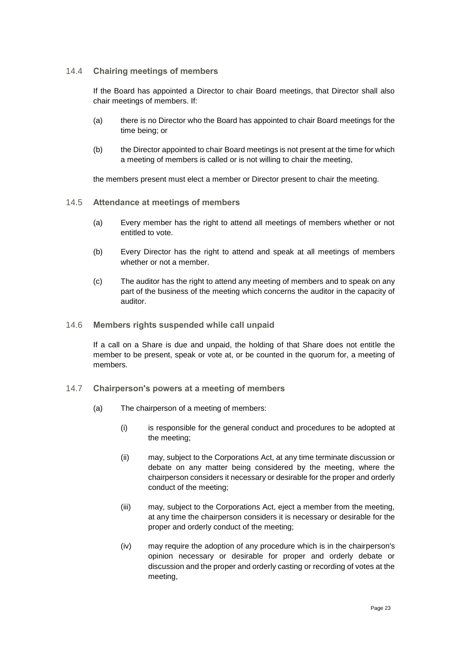### <span id="page-25-0"></span>14.4 **Chairing meetings of members**

If the Board has appointed a Director to chair Board meetings, that Director shall also chair meetings of members. If:

- (a) there is no Director who the Board has appointed to chair Board meetings for the time being; or
- (b) the Director appointed to chair Board meetings is not present at the time for which a meeting of members is called or is not willing to chair the meeting,

the members present must elect a member or Director present to chair the meeting.

- 14.5 **Attendance at meetings of members**
	- (a) Every member has the right to attend all meetings of members whether or not entitled to vote.
	- (b) Every Director has the right to attend and speak at all meetings of members whether or not a member.
	- (c) The auditor has the right to attend any meeting of members and to speak on any part of the business of the meeting which concerns the auditor in the capacity of auditor.
- <span id="page-25-2"></span>14.6 **Members rights suspended while call unpaid**

If a call on a Share is due and unpaid, the holding of that Share does not entitle the member to be present, speak or vote at, or be counted in the quorum for, a meeting of members.

- <span id="page-25-1"></span>14.7 **Chairperson's powers at a meeting of members**
	- (a) The chairperson of a meeting of members:
		- (i) is responsible for the general conduct and procedures to be adopted at the meeting;
		- (ii) may, subject to the Corporations Act, at any time terminate discussion or debate on any matter being considered by the meeting, where the chairperson considers it necessary or desirable for the proper and orderly conduct of the meeting;
		- (iii) may, subject to the Corporations Act, eject a member from the meeting, at any time the chairperson considers it is necessary or desirable for the proper and orderly conduct of the meeting;
		- (iv) may require the adoption of any procedure which is in the chairperson's opinion necessary or desirable for proper and orderly debate or discussion and the proper and orderly casting or recording of votes at the meeting,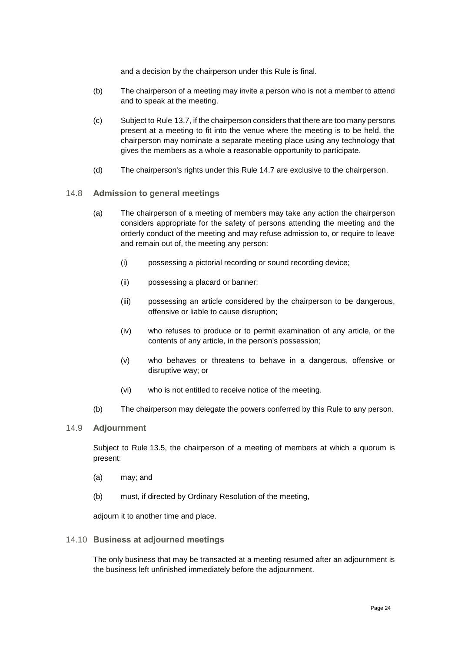and a decision by the chairperson under this Rule is final.

- (b) The chairperson of a meeting may invite a person who is not a member to attend and to speak at the meeting.
- (c) Subject to Rule [13.7,](#page-23-2) if the chairperson considers that there are too many persons present at a meeting to fit into the venue where the meeting is to be held, the chairperson may nominate a separate meeting place using any technology that gives the members as a whole a reasonable opportunity to participate.
- (d) The chairperson's rights under this Rule [14.7](#page-25-1) are exclusive to the chairperson.
- 14.8 **Admission to general meetings**
	- (a) The chairperson of a meeting of members may take any action the chairperson considers appropriate for the safety of persons attending the meeting and the orderly conduct of the meeting and may refuse admission to, or require to leave and remain out of, the meeting any person:
		- (i) possessing a pictorial recording or sound recording device;
		- (ii) possessing a placard or banner;
		- (iii) possessing an article considered by the chairperson to be dangerous, offensive or liable to cause disruption;
		- (iv) who refuses to produce or to permit examination of any article, or the contents of any article, in the person's possession;
		- (v) who behaves or threatens to behave in a dangerous, offensive or disruptive way; or
		- (vi) who is not entitled to receive notice of the meeting.
	- (b) The chairperson may delegate the powers conferred by this Rule to any person.
- 14.9 **Adjournment**

Subject to Rule [13.5,](#page-23-0) the chairperson of a meeting of members at which a quorum is present:

- (a) may; and
- (b) must, if directed by Ordinary Resolution of the meeting,

adjourn it to another time and place.

#### 14.10 **Business at adjourned meetings**

The only business that may be transacted at a meeting resumed after an adjournment is the business left unfinished immediately before the adjournment.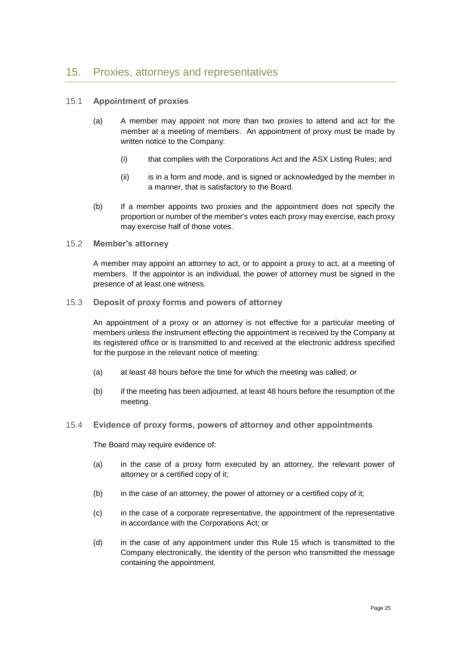## <span id="page-27-0"></span>15. Proxies, attorneys and representatives

### 15.1 **Appointment of proxies**

- (a) A member may appoint not more than two proxies to attend and act for the member at a meeting of members. An appointment of proxy must be made by written notice to the Company:
	- (i) that complies with the Corporations Act and the ASX Listing Rules; and
	- (ii) is in a form and mode, and is signed or acknowledged by the member in a manner, that is satisfactory to the Board.
- (b) If a member appoints two proxies and the appointment does not specify the proportion or number of the member's votes each proxy may exercise, each proxy may exercise half of those votes.

#### 15.2 **Member's attorney**

A member may appoint an attorney to act, or to appoint a proxy to act, at a meeting of members. If the appointor is an individual, the power of attorney must be signed in the presence of at least one witness.

#### 15.3 **Deposit of proxy forms and powers of attorney**

An appointment of a proxy or an attorney is not effective for a particular meeting of members unless the instrument effecting the appointment is received by the Company at its registered office or is transmitted to and received at the electronic address specified for the purpose in the relevant notice of meeting:

- (a) at least 48 hours before the time for which the meeting was called; or
- (b) if the meeting has been adjourned, at least 48 hours before the resumption of the meeting.

### 15.4 **Evidence of proxy forms, powers of attorney and other appointments**

The Board may require evidence of:

- (a) in the case of a proxy form executed by an attorney, the relevant power of attorney or a certified copy of it;
- (b) in the case of an attorney, the power of attorney or a certified copy of it;
- (c) in the case of a corporate representative, the appointment of the representative in accordance with the Corporations Act; or
- (d) in the case of any appointment under this Rule 15 which is transmitted to the Company electronically, the identity of the person who transmitted the message containing the appointment.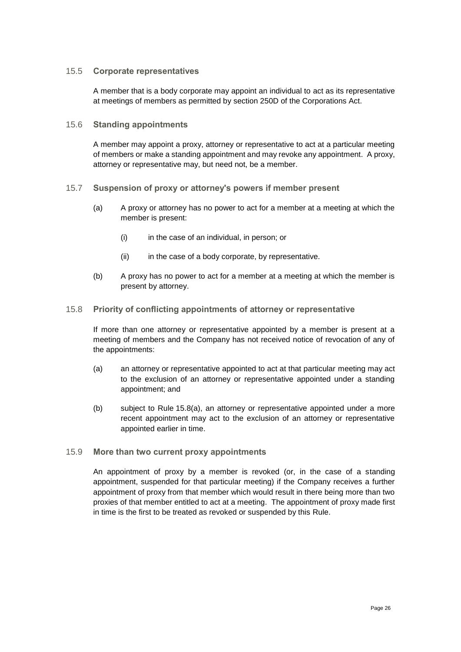#### 15.5 **Corporate representatives**

A member that is a body corporate may appoint an individual to act as its representative at meetings of members as permitted by section 250D of the Corporations Act.

#### 15.6 **Standing appointments**

A member may appoint a proxy, attorney or representative to act at a particular meeting of members or make a standing appointment and may revoke any appointment. A proxy, attorney or representative may, but need not, be a member.

#### 15.7 **Suspension of proxy or attorney's powers if member present**

- (a) A proxy or attorney has no power to act for a member at a meeting at which the member is present:
	- (i) in the case of an individual, in person; or
	- (ii) in the case of a body corporate, by representative.
- (b) A proxy has no power to act for a member at a meeting at which the member is present by attorney.

#### 15.8 **Priority of conflicting appointments of attorney or representative**

If more than one attorney or representative appointed by a member is present at a meeting of members and the Company has not received notice of revocation of any of the appointments:

- <span id="page-28-0"></span>(a) an attorney or representative appointed to act at that particular meeting may act to the exclusion of an attorney or representative appointed under a standing appointment; and
- (b) subject to Rule [15.8\(a\),](#page-28-0) an attorney or representative appointed under a more recent appointment may act to the exclusion of an attorney or representative appointed earlier in time.

### 15.9 **More than two current proxy appointments**

An appointment of proxy by a member is revoked (or, in the case of a standing appointment, suspended for that particular meeting) if the Company receives a further appointment of proxy from that member which would result in there being more than two proxies of that member entitled to act at a meeting. The appointment of proxy made first in time is the first to be treated as revoked or suspended by this Rule.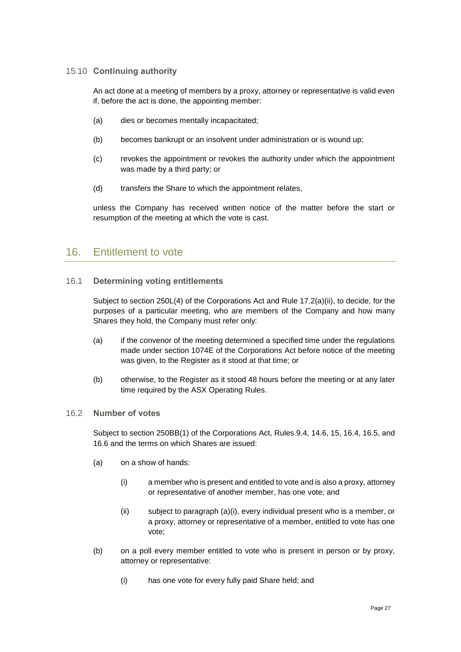### 15.10 **Continuing authority**

An act done at a meeting of members by a proxy, attorney or representative is valid even if, before the act is done, the appointing member:

- (a) dies or becomes mentally incapacitated;
- (b) becomes bankrupt or an insolvent under administration or is wound up;
- (c) revokes the appointment or revokes the authority under which the appointment was made by a third party; or
- (d) transfers the Share to which the appointment relates,

unless the Company has received written notice of the matter before the start or resumption of the meeting at which the vote is cast.

## <span id="page-29-0"></span>16. Entitlement to vote

### <span id="page-29-2"></span>16.1 **Determining voting entitlements**

Subject to section 250L(4) of the Corporations Act and Rule [17.2\(a\)\(ii\),](#page-31-1) to decide, for the purposes of a particular meeting, who are members of the Company and how many Shares they hold, the Company must refer only:

- (a) if the convenor of the meeting determined a specified time under the regulations made under section 1074E of the Corporations Act before notice of the meeting was given, to the Register as it stood at that time; or
- (b) otherwise, to the Register as it stood 48 hours before the meeting or at any later time required by the ASX Operating Rules.

### 16.2 **Number of votes**

Subject to section 250BB(1) of the Corporations Act, Rules [9.4,](#page-17-1) [14.6,](#page-25-2) [15,](#page-27-0) [16.4,](#page-30-0) [16.5,](#page-30-1) and [16.6](#page-31-2) and the terms on which Shares are issued:

- <span id="page-29-1"></span>(a) on a show of hands:
	- (i) a member who is present and entitled to vote and is also a proxy, attorney or representative of another member, has one vote; and
	- (ii) subject to paragraph [\(a\)\(i\),](#page-29-1) every individual present who is a member, or a proxy, attorney or representative of a member, entitled to vote has one vote;
- (b) on a poll every member entitled to vote who is present in person or by proxy, attorney or representative:
	- (i) has one vote for every fully paid Share held; and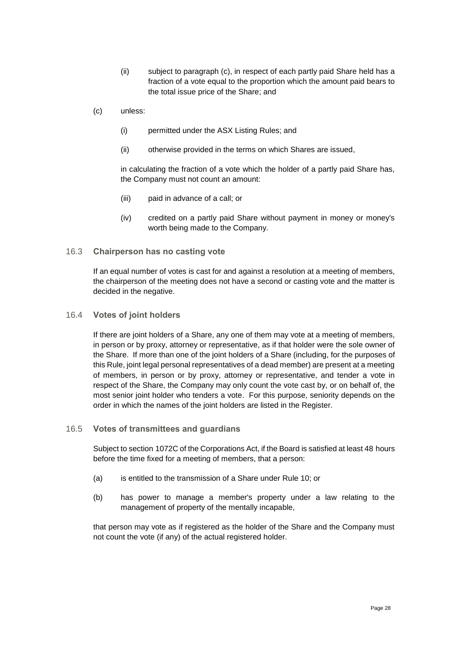- (ii) subject to paragraph [\(c\),](#page-30-2) in respect of each partly paid Share held has a fraction of a vote equal to the proportion which the amount paid bears to the total issue price of the Share; and
- <span id="page-30-2"></span>(c) unless:
	- (i) permitted under the ASX Listing Rules; and
	- (ii) otherwise provided in the terms on which Shares are issued,

in calculating the fraction of a vote which the holder of a partly paid Share has, the Company must not count an amount:

- (iii) paid in advance of a call; or
- (iv) credited on a partly paid Share without payment in money or money's worth being made to the Company.

#### 16.3 **Chairperson has no casting vote**

If an equal number of votes is cast for and against a resolution at a meeting of members, the chairperson of the meeting does not have a second or casting vote and the matter is decided in the negative.

#### <span id="page-30-0"></span>16.4 **Votes of joint holders**

If there are joint holders of a Share, any one of them may vote at a meeting of members, in person or by proxy, attorney or representative, as if that holder were the sole owner of the Share. If more than one of the joint holders of a Share (including, for the purposes of this Rule, joint legal personal representatives of a dead member) are present at a meeting of members, in person or by proxy, attorney or representative, and tender a vote in respect of the Share, the Company may only count the vote cast by, or on behalf of, the most senior joint holder who tenders a vote. For this purpose, seniority depends on the order in which the names of the joint holders are listed in the Register.

#### <span id="page-30-1"></span>16.5 **Votes of transmittees and guardians**

Subject to section 1072C of the Corporations Act, if the Board is satisfied at least 48 hours before the time fixed for a meeting of members, that a person:

- (a) is entitled to the transmission of a Share under Rule [10;](#page-18-0) or
- (b) has power to manage a member's property under a law relating to the management of property of the mentally incapable,

that person may vote as if registered as the holder of the Share and the Company must not count the vote (if any) of the actual registered holder.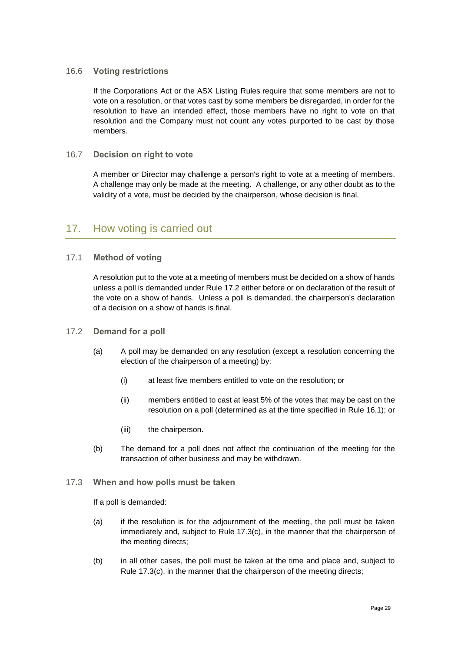### <span id="page-31-2"></span>16.6 **Voting restrictions**

If the Corporations Act or the ASX Listing Rules require that some members are not to vote on a resolution, or that votes cast by some members be disregarded, in order for the resolution to have an intended effect, those members have no right to vote on that resolution and the Company must not count any votes purported to be cast by those members.

### 16.7 **Decision on right to vote**

A member or Director may challenge a person's right to vote at a meeting of members. A challenge may only be made at the meeting. A challenge, or any other doubt as to the validity of a vote, must be decided by the chairperson, whose decision is final.

## <span id="page-31-0"></span>17. How voting is carried out

## 17.1 **Method of voting**

A resolution put to the vote at a meeting of members must be decided on a show of hands unless a poll is demanded under Rule [17.2](#page-31-3) either before or on declaration of the result of the vote on a show of hands. Unless a poll is demanded, the chairperson's declaration of a decision on a show of hands is final.

### <span id="page-31-3"></span>17.2 **Demand for a poll**

- <span id="page-31-1"></span>(a) A poll may be demanded on any resolution (except a resolution concerning the election of the chairperson of a meeting) by:
	- (i) at least five members entitled to vote on the resolution; or
	- (ii) members entitled to cast at least 5% of the votes that may be cast on the resolution on a poll (determined as at the time specified in Rule [16.1\)](#page-29-2); or
	- (iii) the chairperson.
- (b) The demand for a poll does not affect the continuation of the meeting for the transaction of other business and may be withdrawn.

### 17.3 **When and how polls must be taken**

If a poll is demanded:

- (a) if the resolution is for the adjournment of the meeting, the poll must be taken immediately and, subject to Rule [17.3\(c\),](#page-32-1) in the manner that the chairperson of the meeting directs;
- (b) in all other cases, the poll must be taken at the time and place and, subject to Rule [17.3\(c\),](#page-32-1) in the manner that the chairperson of the meeting directs;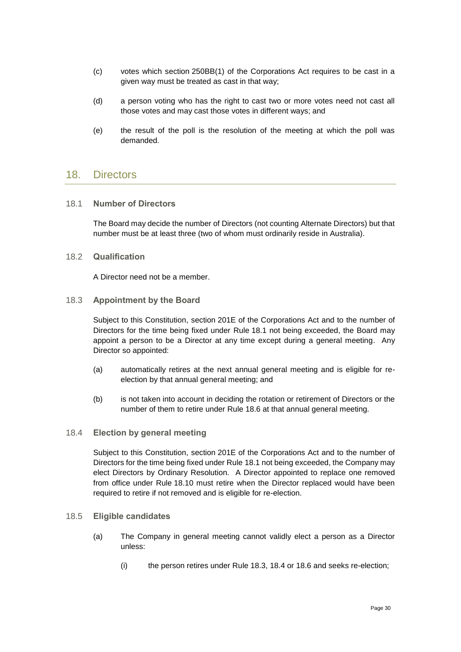- <span id="page-32-1"></span>(c) votes which section 250BB(1) of the Corporations Act requires to be cast in a given way must be treated as cast in that way;
- (d) a person voting who has the right to cast two or more votes need not cast all those votes and may cast those votes in different ways; and
- (e) the result of the poll is the resolution of the meeting at which the poll was demanded.

## <span id="page-32-0"></span>18. Directors

#### <span id="page-32-2"></span>18.1 **Number of Directors**

The Board may decide the number of Directors (not counting Alternate Directors) but that number must be at least three (two of whom must ordinarily reside in Australia).

#### <span id="page-32-5"></span>18.2 **Qualification**

A Director need not be a member.

#### <span id="page-32-3"></span>18.3 **Appointment by the Board**

Subject to this Constitution, section 201E of the Corporations Act and to the number of Directors for the time being fixed under Rule [18.1](#page-32-2) not being exceeded, the Board may appoint a person to be a Director at any time except during a general meeting. Any Director so appointed:

- (a) automatically retires at the next annual general meeting and is eligible for reelection by that annual general meeting; and
- (b) is not taken into account in deciding the rotation or retirement of Directors or the number of them to retire under Rule [18.6](#page-33-0) at that annual general meeting.

#### <span id="page-32-4"></span>18.4 **Election by general meeting**

Subject to this Constitution, section 201E of the Corporations Act and to the number of Directors for the time being fixed under Rule [18.1](#page-32-2) not being exceeded, the Company may elect Directors by Ordinary Resolution. A Director appointed to replace one removed from office under Rule [18.10](#page-34-0) must retire when the Director replaced would have been required to retire if not removed and is eligible for re-election.

#### 18.5 **Eligible candidates**

- (a) The Company in general meeting cannot validly elect a person as a Director unless:
	- (i) the person retires under Rule [18.3,](#page-32-3) [18.4](#page-32-4) or [18.6](#page-33-0) and seeks re-election;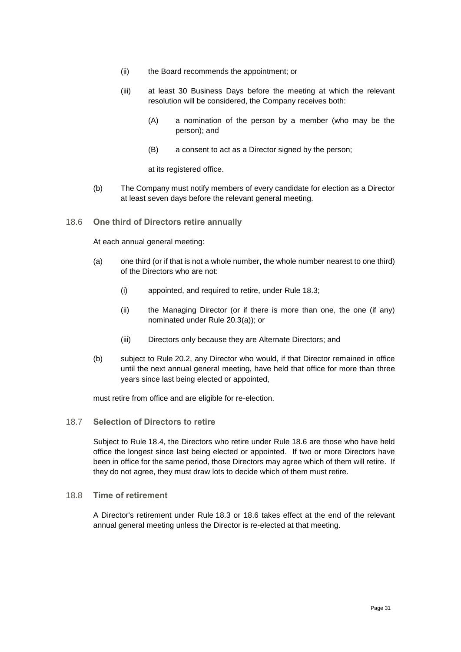- (ii) the Board recommends the appointment; or
- (iii) at least 30 Business Days before the meeting at which the relevant resolution will be considered, the Company receives both:
	- (A) a nomination of the person by a member (who may be the person); and
	- (B) a consent to act as a Director signed by the person;

at its registered office.

- (b) The Company must notify members of every candidate for election as a Director at least seven days before the relevant general meeting.
- <span id="page-33-0"></span>18.6 **One third of Directors retire annually**

At each annual general meeting:

- (a) one third (or if that is not a whole number, the whole number nearest to one third) of the Directors who are not:
	- (i) appointed, and required to retire, under Rule [18.3;](#page-32-3)
	- (ii) the Managing Director (or if there is more than one, the one (if any) nominated under Rule [20.3\(a\)\)](#page-36-2); or
	- (iii) Directors only because they are Alternate Directors; and
- (b) subject to Rule [20.2,](#page-36-3) any Director who would, if that Director remained in office until the next annual general meeting, have held that office for more than three years since last being elected or appointed,

must retire from office and are eligible for re-election.

### 18.7 **Selection of Directors to retire**

Subject to Rule [18.4,](#page-32-4) the Directors who retire under Rule [18.6](#page-33-0) are those who have held office the longest since last being elected or appointed. If two or more Directors have been in office for the same period, those Directors may agree which of them will retire. If they do not agree, they must draw lots to decide which of them must retire.

#### 18.8 **Time of retirement**

A Director's retirement under Rule [18.3](#page-32-3) or [18.6](#page-33-0) takes effect at the end of the relevant annual general meeting unless the Director is re-elected at that meeting.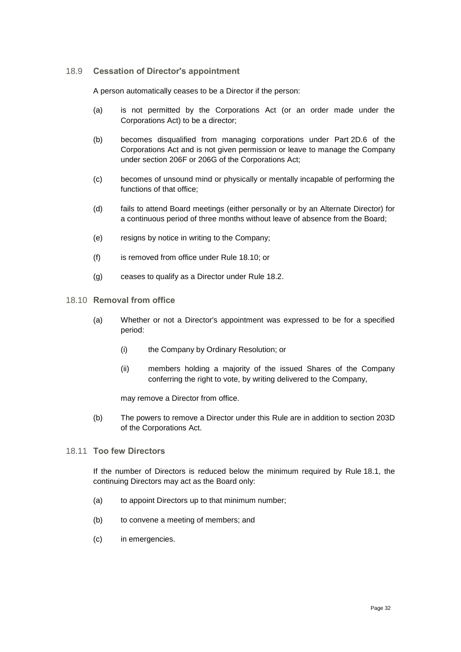### <span id="page-34-1"></span>18.9 **Cessation of Director's appointment**

A person automatically ceases to be a Director if the person:

- (a) is not permitted by the Corporations Act (or an order made under the Corporations Act) to be a director;
- (b) becomes disqualified from managing corporations under Part 2D.6 of the Corporations Act and is not given permission or leave to manage the Company under section 206F or 206G of the Corporations Act;
- (c) becomes of unsound mind or physically or mentally incapable of performing the functions of that office;
- (d) fails to attend Board meetings (either personally or by an Alternate Director) for a continuous period of three months without leave of absence from the Board;
- (e) resigns by notice in writing to the Company;
- (f) is removed from office under Rule [18.10;](#page-34-0) or
- (g) ceases to qualify as a Director under Rule [18.2.](#page-32-5)
- <span id="page-34-0"></span>18.10 **Removal from office**
	- (a) Whether or not a Director's appointment was expressed to be for a specified period:
		- (i) the Company by Ordinary Resolution; or
		- (ii) members holding a majority of the issued Shares of the Company conferring the right to vote, by writing delivered to the Company,

may remove a Director from office.

(b) The powers to remove a Director under this Rule are in addition to section 203D of the Corporations Act.

#### 18.11 **Too few Directors**

If the number of Directors is reduced below the minimum required by Rule [18.1,](#page-32-2) the continuing Directors may act as the Board only:

- (a) to appoint Directors up to that minimum number;
- (b) to convene a meeting of members; and
- (c) in emergencies.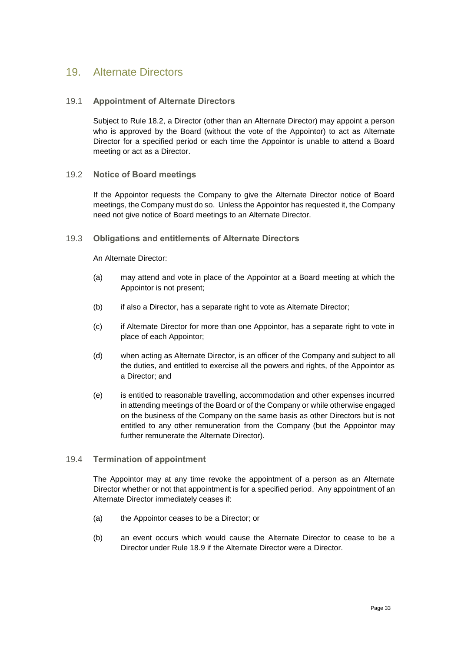## <span id="page-35-0"></span>19. Alternate Directors

### <span id="page-35-1"></span>19.1 **Appointment of Alternate Directors**

Subject to Rule [18.2,](#page-32-5) a Director (other than an Alternate Director) may appoint a person who is approved by the Board (without the vote of the Appointor) to act as Alternate Director for a specified period or each time the Appointor is unable to attend a Board meeting or act as a Director.

#### <span id="page-35-2"></span>19.2 **Notice of Board meetings**

If the Appointor requests the Company to give the Alternate Director notice of Board meetings, the Company must do so. Unless the Appointor has requested it, the Company need not give notice of Board meetings to an Alternate Director.

#### 19.3 **Obligations and entitlements of Alternate Directors**

An Alternate Director:

- (a) may attend and vote in place of the Appointor at a Board meeting at which the Appointor is not present;
- (b) if also a Director, has a separate right to vote as Alternate Director;
- (c) if Alternate Director for more than one Appointor, has a separate right to vote in place of each Appointor;
- (d) when acting as Alternate Director, is an officer of the Company and subject to all the duties, and entitled to exercise all the powers and rights, of the Appointor as a Director; and
- (e) is entitled to reasonable travelling, accommodation and other expenses incurred in attending meetings of the Board or of the Company or while otherwise engaged on the business of the Company on the same basis as other Directors but is not entitled to any other remuneration from the Company (but the Appointor may further remunerate the Alternate Director).

### 19.4 **Termination of appointment**

The Appointor may at any time revoke the appointment of a person as an Alternate Director whether or not that appointment is for a specified period. Any appointment of an Alternate Director immediately ceases if:

- (a) the Appointor ceases to be a Director; or
- (b) an event occurs which would cause the Alternate Director to cease to be a Director under Rule [18.9](#page-34-1) if the Alternate Director were a Director.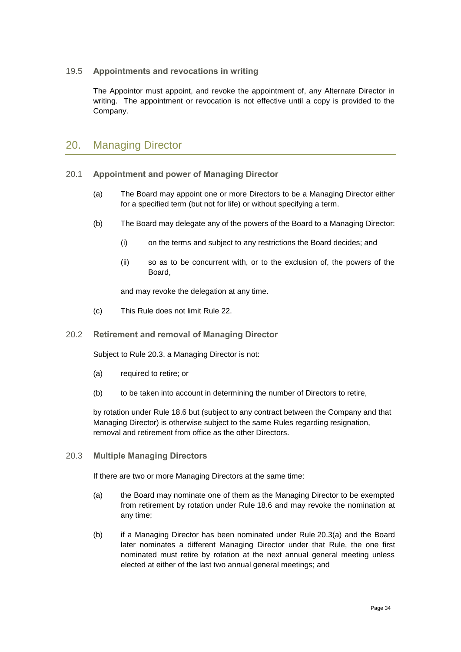## 19.5 **Appointments and revocations in writing**

The Appointor must appoint, and revoke the appointment of, any Alternate Director in writing. The appointment or revocation is not effective until a copy is provided to the Company.

## <span id="page-36-0"></span>20. Managing Director

- <span id="page-36-1"></span>20.1 **Appointment and power of Managing Director**
	- (a) The Board may appoint one or more Directors to be a Managing Director either for a specified term (but not for life) or without specifying a term.
	- (b) The Board may delegate any of the powers of the Board to a Managing Director:
		- (i) on the terms and subject to any restrictions the Board decides; and
		- (ii) so as to be concurrent with, or to the exclusion of, the powers of the Board,

and may revoke the delegation at any time.

(c) This Rule does not limit Rule [22.](#page-37-1)

#### <span id="page-36-3"></span>20.2 **Retirement and removal of Managing Director**

Subject to Rule [20.3,](#page-36-4) a Managing Director is not:

- (a) required to retire; or
- (b) to be taken into account in determining the number of Directors to retire,

by rotation under Rule [18.6](#page-33-0) but (subject to any contract between the Company and that Managing Director) is otherwise subject to the same Rules regarding resignation, removal and retirement from office as the other Directors.

#### <span id="page-36-4"></span>20.3 **Multiple Managing Directors**

If there are two or more Managing Directors at the same time:

- <span id="page-36-2"></span>(a) the Board may nominate one of them as the Managing Director to be exempted from retirement by rotation under Rule [18.6](#page-33-0) and may revoke the nomination at any time;
- (b) if a Managing Director has been nominated under Rule [20.3\(a\)](#page-36-2) and the Board later nominates a different Managing Director under that Rule, the one first nominated must retire by rotation at the next annual general meeting unless elected at either of the last two annual general meetings; and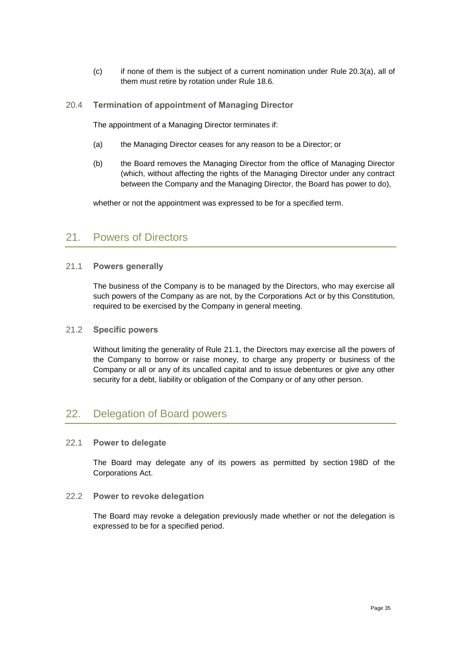- (c) if none of them is the subject of a current nomination under Rule [20.3\(a\),](#page-36-2) all of them must retire by rotation under Rule [18.6.](#page-33-0)
- 20.4 **Termination of appointment of Managing Director**

The appointment of a Managing Director terminates if:

- (a) the Managing Director ceases for any reason to be a Director; or
- (b) the Board removes the Managing Director from the office of Managing Director (which, without affecting the rights of the Managing Director under any contract between the Company and the Managing Director, the Board has power to do),

whether or not the appointment was expressed to be for a specified term.

## <span id="page-37-0"></span>21. Powers of Directors

#### <span id="page-37-2"></span>21.1 **Powers generally**

The business of the Company is to be managed by the Directors, who may exercise all such powers of the Company as are not, by the Corporations Act or by this Constitution, required to be exercised by the Company in general meeting.

### 21.2 **Specific powers**

Without limiting the generality of Rule [21.1,](#page-37-2) the Directors may exercise all the powers of the Company to borrow or raise money, to charge any property or business of the Company or all or any of its uncalled capital and to issue debentures or give any other security for a debt, liability or obligation of the Company or of any other person.

## <span id="page-37-1"></span>22. Delegation of Board powers

#### <span id="page-37-3"></span>22.1 **Power to delegate**

The Board may delegate any of its powers as permitted by section 198D of the Corporations Act.

#### 22.2 **Power to revoke delegation**

The Board may revoke a delegation previously made whether or not the delegation is expressed to be for a specified period.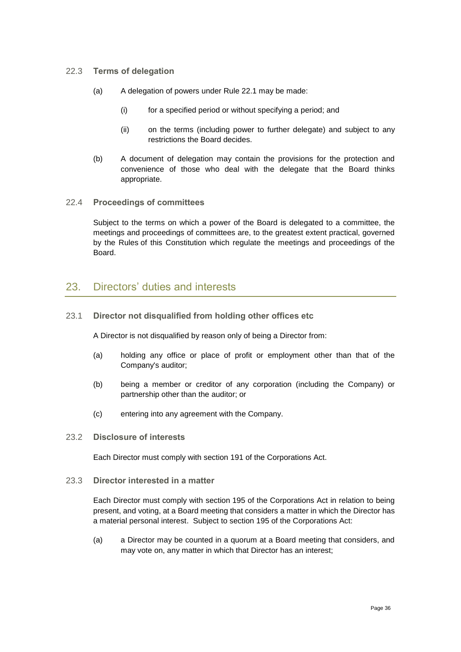#### 22.3 **Terms of delegation**

- (a) A delegation of powers under Rule [22.1](#page-37-3) may be made:
	- (i) for a specified period or without specifying a period; and
	- (ii) on the terms (including power to further delegate) and subject to any restrictions the Board decides.
- (b) A document of delegation may contain the provisions for the protection and convenience of those who deal with the delegate that the Board thinks appropriate.

#### 22.4 **Proceedings of committees**

Subject to the terms on which a power of the Board is delegated to a committee, the meetings and proceedings of committees are, to the greatest extent practical, governed by the Rules of this Constitution which regulate the meetings and proceedings of the Board.

## <span id="page-38-0"></span>23. Directors' duties and interests

#### 23.1 **Director not disqualified from holding other offices etc**

A Director is not disqualified by reason only of being a Director from:

- (a) holding any office or place of profit or employment other than that of the Company's auditor;
- (b) being a member or creditor of any corporation (including the Company) or partnership other than the auditor; or
- (c) entering into any agreement with the Company.

### 23.2 **Disclosure of interests**

Each Director must comply with section 191 of the Corporations Act.

#### 23.3 **Director interested in a matter**

Each Director must comply with section 195 of the Corporations Act in relation to being present, and voting, at a Board meeting that considers a matter in which the Director has a material personal interest. Subject to section 195 of the Corporations Act:

(a) a Director may be counted in a quorum at a Board meeting that considers, and may vote on, any matter in which that Director has an interest;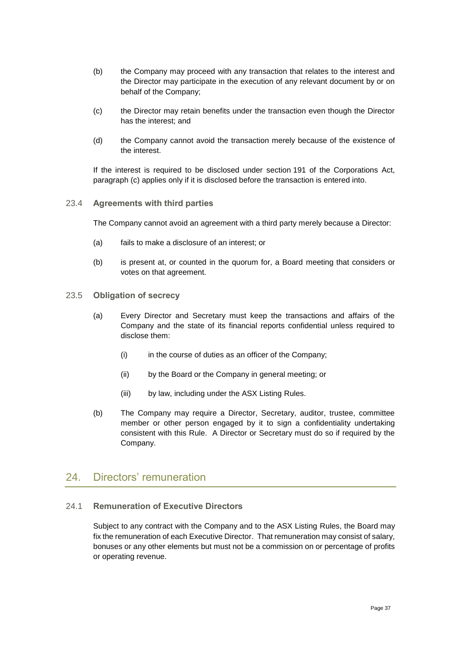- (b) the Company may proceed with any transaction that relates to the interest and the Director may participate in the execution of any relevant document by or on behalf of the Company;
- <span id="page-39-1"></span>(c) the Director may retain benefits under the transaction even though the Director has the interest; and
- (d) the Company cannot avoid the transaction merely because of the existence of the interest.

If the interest is required to be disclosed under section 191 of the Corporations Act, paragraph [\(c\)](#page-39-1) applies only if it is disclosed before the transaction is entered into.

#### 23.4 **Agreements with third parties**

The Company cannot avoid an agreement with a third party merely because a Director:

- (a) fails to make a disclosure of an interest; or
- (b) is present at, or counted in the quorum for, a Board meeting that considers or votes on that agreement.
- 23.5 **Obligation of secrecy**
	- (a) Every Director and Secretary must keep the transactions and affairs of the Company and the state of its financial reports confidential unless required to disclose them:
		- (i) in the course of duties as an officer of the Company;
		- (ii) by the Board or the Company in general meeting; or
		- (iii) by law, including under the ASX Listing Rules.
	- (b) The Company may require a Director, Secretary, auditor, trustee, committee member or other person engaged by it to sign a confidentiality undertaking consistent with this Rule. A Director or Secretary must do so if required by the Company.

## <span id="page-39-0"></span>24. Directors' remuneration

## <span id="page-39-2"></span>24.1 **Remuneration of Executive Directors**

Subject to any contract with the Company and to the ASX Listing Rules, the Board may fix the remuneration of each Executive Director. That remuneration may consist of salary, bonuses or any other elements but must not be a commission on or percentage of profits or operating revenue.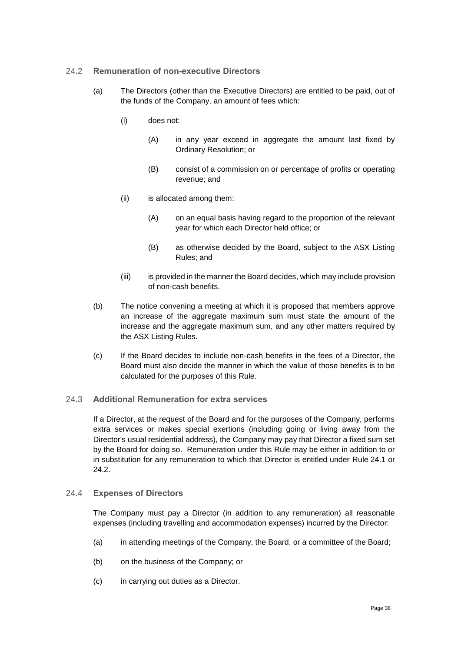### <span id="page-40-0"></span>24.2 **Remuneration of non-executive Directors**

- (a) The Directors (other than the Executive Directors) are entitled to be paid, out of the funds of the Company, an amount of fees which:
	- (i) does not:
		- (A) in any year exceed in aggregate the amount last fixed by Ordinary Resolution; or
		- (B) consist of a commission on or percentage of profits or operating revenue; and
	- (ii) is allocated among them:
		- (A) on an equal basis having regard to the proportion of the relevant year for which each Director held office; or
		- (B) as otherwise decided by the Board, subject to the ASX Listing Rules; and
	- (iii) is provided in the manner the Board decides, which may include provision of non-cash benefits.
- (b) The notice convening a meeting at which it is proposed that members approve an increase of the aggregate maximum sum must state the amount of the increase and the aggregate maximum sum, and any other matters required by the ASX Listing Rules.
- (c) If the Board decides to include non-cash benefits in the fees of a Director, the Board must also decide the manner in which the value of those benefits is to be calculated for the purposes of this Rule.

### 24.3 **Additional Remuneration for extra services**

If a Director, at the request of the Board and for the purposes of the Company, performs extra services or makes special exertions (including going or living away from the Director's usual residential address), the Company may pay that Director a fixed sum set by the Board for doing so. Remuneration under this Rule may be either in addition to or in substitution for any remuneration to which that Director is entitled under Rule [24.1](#page-39-2) or [24.2.](#page-40-0)

### 24.4 **Expenses of Directors**

The Company must pay a Director (in addition to any remuneration) all reasonable expenses (including travelling and accommodation expenses) incurred by the Director:

- (a) in attending meetings of the Company, the Board, or a committee of the Board;
- (b) on the business of the Company; or
- (c) in carrying out duties as a Director.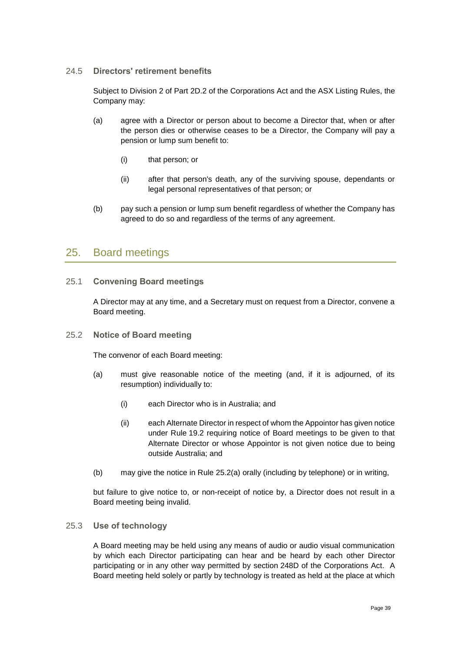### 24.5 **Directors' retirement benefits**

Subject to Division 2 of Part 2D.2 of the Corporations Act and the ASX Listing Rules, the Company may:

- (a) agree with a Director or person about to become a Director that, when or after the person dies or otherwise ceases to be a Director, the Company will pay a pension or lump sum benefit to:
	- (i) that person; or
	- (ii) after that person's death, any of the surviving spouse, dependants or legal personal representatives of that person; or
- (b) pay such a pension or lump sum benefit regardless of whether the Company has agreed to do so and regardless of the terms of any agreement.

## <span id="page-41-0"></span>25. Board meetings

## 25.1 **Convening Board meetings**

A Director may at any time, and a Secretary must on request from a Director, convene a Board meeting.

25.2 **Notice of Board meeting**

The convenor of each Board meeting:

- <span id="page-41-1"></span>(a) must give reasonable notice of the meeting (and, if it is adjourned, of its resumption) individually to:
	- (i) each Director who is in Australia; and
	- (ii) each Alternate Director in respect of whom the Appointor has given notice under Rule [19.2](#page-35-2) requiring notice of Board meetings to be given to that Alternate Director or whose Appointor is not given notice due to being outside Australia; and
- (b) may give the notice in Rule [25.2\(a\)](#page-41-1) orally (including by telephone) or in writing,

but failure to give notice to, or non-receipt of notice by, a Director does not result in a Board meeting being invalid.

### 25.3 **Use of technology**

A Board meeting may be held using any means of audio or audio visual communication by which each Director participating can hear and be heard by each other Director participating or in any other way permitted by section 248D of the Corporations Act. A Board meeting held solely or partly by technology is treated as held at the place at which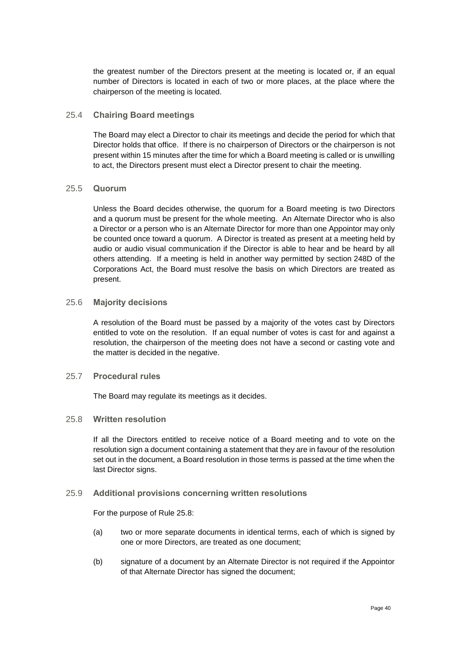the greatest number of the Directors present at the meeting is located or, if an equal number of Directors is located in each of two or more places, at the place where the chairperson of the meeting is located.

#### 25.4 **Chairing Board meetings**

The Board may elect a Director to chair its meetings and decide the period for which that Director holds that office. If there is no chairperson of Directors or the chairperson is not present within 15 minutes after the time for which a Board meeting is called or is unwilling to act, the Directors present must elect a Director present to chair the meeting.

#### 25.5 **Quorum**

Unless the Board decides otherwise, the quorum for a Board meeting is two Directors and a quorum must be present for the whole meeting. An Alternate Director who is also a Director or a person who is an Alternate Director for more than one Appointor may only be counted once toward a quorum. A Director is treated as present at a meeting held by audio or audio visual communication if the Director is able to hear and be heard by all others attending. If a meeting is held in another way permitted by section 248D of the Corporations Act, the Board must resolve the basis on which Directors are treated as present.

#### 25.6 **Majority decisions**

A resolution of the Board must be passed by a majority of the votes cast by Directors entitled to vote on the resolution. If an equal number of votes is cast for and against a resolution, the chairperson of the meeting does not have a second or casting vote and the matter is decided in the negative.

#### 25.7 **Procedural rules**

The Board may regulate its meetings as it decides.

#### <span id="page-42-0"></span>25.8 **Written resolution**

If all the Directors entitled to receive notice of a Board meeting and to vote on the resolution sign a document containing a statement that they are in favour of the resolution set out in the document, a Board resolution in those terms is passed at the time when the last Director signs.

#### 25.9 **Additional provisions concerning written resolutions**

For the purpose of Rule [25.8:](#page-42-0)

- (a) two or more separate documents in identical terms, each of which is signed by one or more Directors, are treated as one document;
- (b) signature of a document by an Alternate Director is not required if the Appointor of that Alternate Director has signed the document;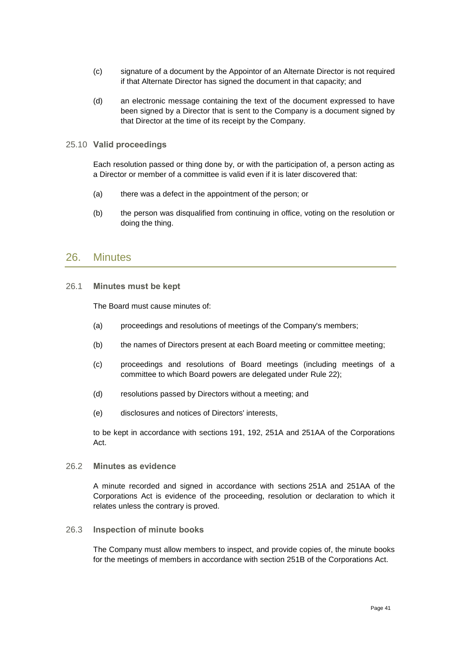- (c) signature of a document by the Appointor of an Alternate Director is not required if that Alternate Director has signed the document in that capacity; and
- (d) an electronic message containing the text of the document expressed to have been signed by a Director that is sent to the Company is a document signed by that Director at the time of its receipt by the Company.

#### 25.10 **Valid proceedings**

Each resolution passed or thing done by, or with the participation of, a person acting as a Director or member of a committee is valid even if it is later discovered that:

- (a) there was a defect in the appointment of the person; or
- (b) the person was disqualified from continuing in office, voting on the resolution or doing the thing.

## <span id="page-43-0"></span>26. Minutes

26.1 **Minutes must be kept**

The Board must cause minutes of:

- (a) proceedings and resolutions of meetings of the Company's members;
- (b) the names of Directors present at each Board meeting or committee meeting;
- (c) proceedings and resolutions of Board meetings (including meetings of a committee to which Board powers are delegated under Rule [22\)](#page-37-1);
- (d) resolutions passed by Directors without a meeting; and
- (e) disclosures and notices of Directors' interests,

to be kept in accordance with sections 191, 192, 251A and 251AA of the Corporations Act.

26.2 **Minutes as evidence**

A minute recorded and signed in accordance with sections 251A and 251AA of the Corporations Act is evidence of the proceeding, resolution or declaration to which it relates unless the contrary is proved.

26.3 **Inspection of minute books**

The Company must allow members to inspect, and provide copies of, the minute books for the meetings of members in accordance with section 251B of the Corporations Act.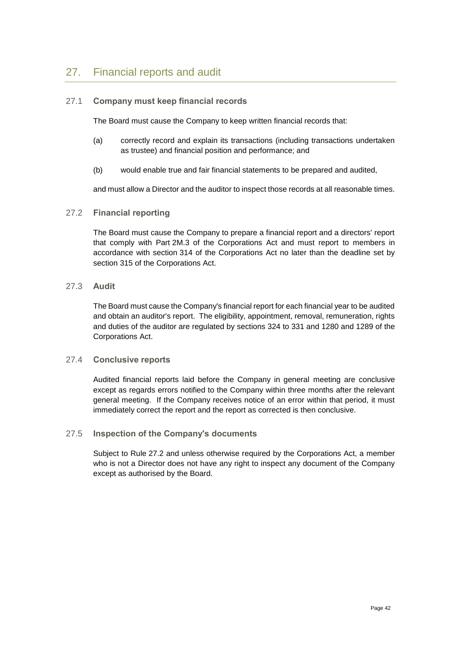## <span id="page-44-0"></span>27. Financial reports and audit

## 27.1 **Company must keep financial records**

The Board must cause the Company to keep written financial records that:

- (a) correctly record and explain its transactions (including transactions undertaken as trustee) and financial position and performance; and
- (b) would enable true and fair financial statements to be prepared and audited,

and must allow a Director and the auditor to inspect those records at all reasonable times.

#### <span id="page-44-1"></span>27.2 **Financial reporting**

The Board must cause the Company to prepare a financial report and a directors' report that comply with Part 2M.3 of the Corporations Act and must report to members in accordance with section 314 of the Corporations Act no later than the deadline set by section 315 of the Corporations Act.

### 27.3 **Audit**

The Board must cause the Company's financial report for each financial year to be audited and obtain an auditor's report. The eligibility, appointment, removal, remuneration, rights and duties of the auditor are regulated by sections 324 to 331 and 1280 and 1289 of the Corporations Act.

### 27.4 **Conclusive reports**

Audited financial reports laid before the Company in general meeting are conclusive except as regards errors notified to the Company within three months after the relevant general meeting. If the Company receives notice of an error within that period, it must immediately correct the report and the report as corrected is then conclusive.

### 27.5 **Inspection of the Company's documents**

Subject to Rule [27.2](#page-44-1) and unless otherwise required by the Corporations Act, a member who is not a Director does not have any right to inspect any document of the Company except as authorised by the Board.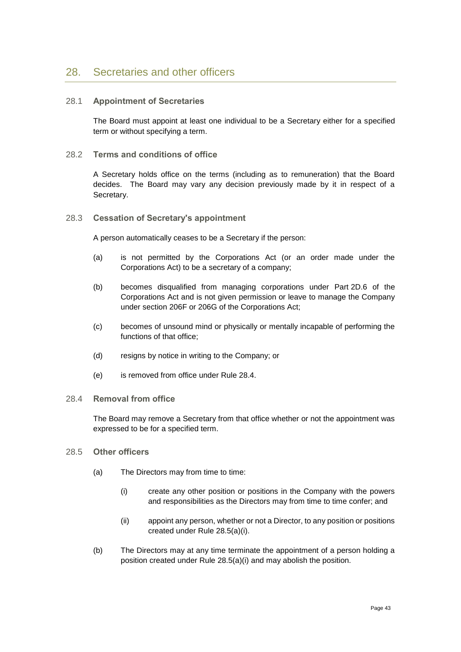## <span id="page-45-0"></span>28.1 **Appointment of Secretaries**

The Board must appoint at least one individual to be a Secretary either for a specified term or without specifying a term.

### 28.2 **Terms and conditions of office**

A Secretary holds office on the terms (including as to remuneration) that the Board decides. The Board may vary any decision previously made by it in respect of a Secretary.

### 28.3 **Cessation of Secretary's appointment**

A person automatically ceases to be a Secretary if the person:

- (a) is not permitted by the Corporations Act (or an order made under the Corporations Act) to be a secretary of a company;
- (b) becomes disqualified from managing corporations under Part 2D.6 of the Corporations Act and is not given permission or leave to manage the Company under section 206F or 206G of the Corporations Act;
- (c) becomes of unsound mind or physically or mentally incapable of performing the functions of that office;
- (d) resigns by notice in writing to the Company; or
- (e) is removed from office under Rule [28.4.](#page-45-1)

### <span id="page-45-1"></span>28.4 **Removal from office**

The Board may remove a Secretary from that office whether or not the appointment was expressed to be for a specified term.

- <span id="page-45-2"></span>28.5 **Other officers**
	- (a) The Directors may from time to time:
		- (i) create any other position or positions in the Company with the powers and responsibilities as the Directors may from time to time confer; and
		- (ii) appoint any person, whether or not a Director, to any position or positions created under Rule [28.5\(a\)\(i\).](#page-45-2)
	- (b) The Directors may at any time terminate the appointment of a person holding a position created under Rule [28.5\(a\)\(i\)](#page-45-2) and may abolish the position.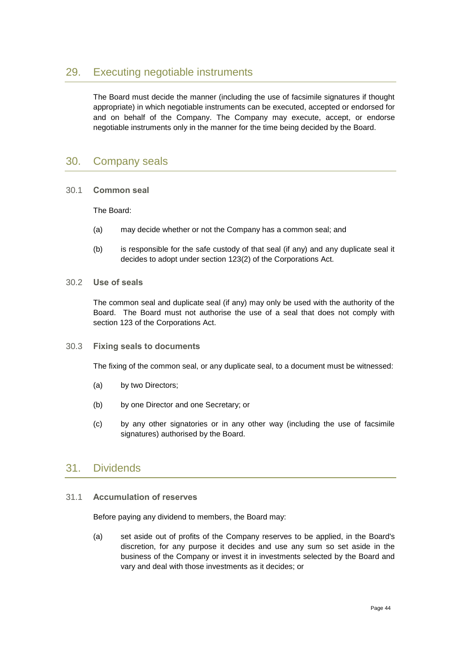## <span id="page-46-0"></span>29. Executing negotiable instruments

The Board must decide the manner (including the use of facsimile signatures if thought appropriate) in which negotiable instruments can be executed, accepted or endorsed for and on behalf of the Company. The Company may execute, accept, or endorse negotiable instruments only in the manner for the time being decided by the Board.

## <span id="page-46-1"></span>30. Company seals

30.1 **Common seal**

The Board:

- (a) may decide whether or not the Company has a common seal; and
- (b) is responsible for the safe custody of that seal (if any) and any duplicate seal it decides to adopt under section 123(2) of the Corporations Act.
- 30.2 **Use of seals**

The common seal and duplicate seal (if any) may only be used with the authority of the Board. The Board must not authorise the use of a seal that does not comply with section 123 of the Corporations Act.

30.3 **Fixing seals to documents**

The fixing of the common seal, or any duplicate seal, to a document must be witnessed:

- (a) by two Directors;
- (b) by one Director and one Secretary; or
- (c) by any other signatories or in any other way (including the use of facsimile signatures) authorised by the Board.

## <span id="page-46-2"></span>31. Dividends

## 31.1 **Accumulation of reserves**

Before paying any dividend to members, the Board may:

(a) set aside out of profits of the Company reserves to be applied, in the Board's discretion, for any purpose it decides and use any sum so set aside in the business of the Company or invest it in investments selected by the Board and vary and deal with those investments as it decides; or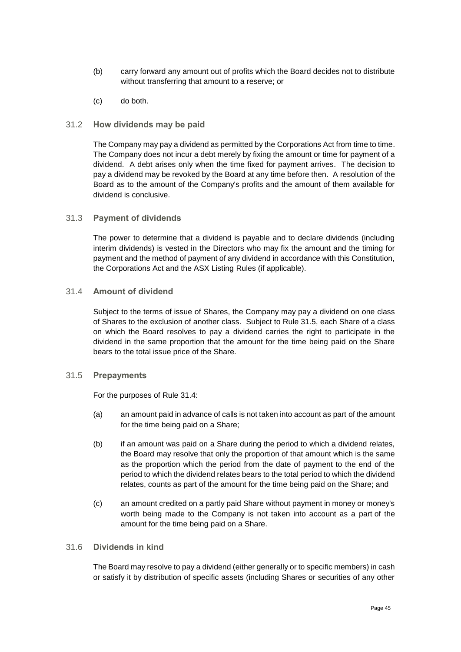- (b) carry forward any amount out of profits which the Board decides not to distribute without transferring that amount to a reserve; or
- (c) do both.

### 31.2 **How dividends may be paid**

The Company may pay a dividend as permitted by the Corporations Act from time to time. The Company does not incur a debt merely by fixing the amount or time for payment of a dividend. A debt arises only when the time fixed for payment arrives. The decision to pay a dividend may be revoked by the Board at any time before then. A resolution of the Board as to the amount of the Company's profits and the amount of them available for dividend is conclusive.

### 31.3 **Payment of dividends**

The power to determine that a dividend is payable and to declare dividends (including interim dividends) is vested in the Directors who may fix the amount and the timing for payment and the method of payment of any dividend in accordance with this Constitution, the Corporations Act and the ASX Listing Rules (if applicable).

### <span id="page-47-1"></span>31.4 **Amount of dividend**

Subject to the terms of issue of Shares, the Company may pay a dividend on one class of Shares to the exclusion of another class. Subject to Rule [31.5,](#page-47-0) each Share of a class on which the Board resolves to pay a dividend carries the right to participate in the dividend in the same proportion that the amount for the time being paid on the Share bears to the total issue price of the Share.

### <span id="page-47-0"></span>31.5 **Prepayments**

For the purposes of Rule [31.4:](#page-47-1)

- (a) an amount paid in advance of calls is not taken into account as part of the amount for the time being paid on a Share;
- (b) if an amount was paid on a Share during the period to which a dividend relates, the Board may resolve that only the proportion of that amount which is the same as the proportion which the period from the date of payment to the end of the period to which the dividend relates bears to the total period to which the dividend relates, counts as part of the amount for the time being paid on the Share; and
- (c) an amount credited on a partly paid Share without payment in money or money's worth being made to the Company is not taken into account as a part of the amount for the time being paid on a Share.

## 31.6 **Dividends in kind**

The Board may resolve to pay a dividend (either generally or to specific members) in cash or satisfy it by distribution of specific assets (including Shares or securities of any other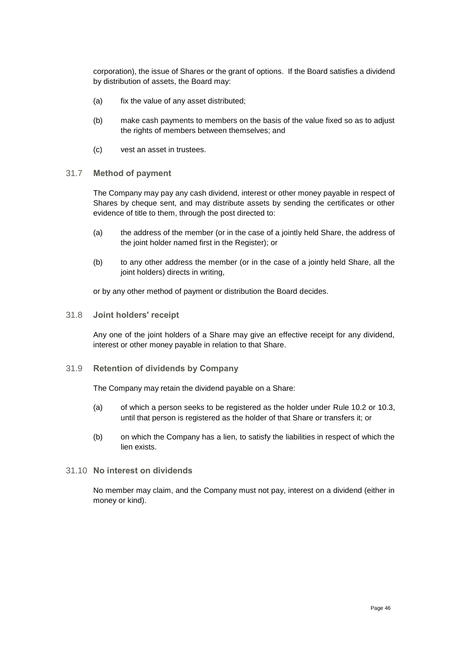corporation), the issue of Shares or the grant of options. If the Board satisfies a dividend by distribution of assets, the Board may:

- (a) fix the value of any asset distributed;
- (b) make cash payments to members on the basis of the value fixed so as to adjust the rights of members between themselves; and
- (c) vest an asset in trustees.

#### <span id="page-48-0"></span>31.7 **Method of payment**

The Company may pay any cash dividend, interest or other money payable in respect of Shares by cheque sent, and may distribute assets by sending the certificates or other evidence of title to them, through the post directed to:

- (a) the address of the member (or in the case of a jointly held Share, the address of the joint holder named first in the Register); or
- (b) to any other address the member (or in the case of a jointly held Share, all the joint holders) directs in writing,

or by any other method of payment or distribution the Board decides.

<span id="page-48-1"></span>31.8 **Joint holders' receipt**

Any one of the joint holders of a Share may give an effective receipt for any dividend, interest or other money payable in relation to that Share.

### 31.9 **Retention of dividends by Company**

The Company may retain the dividend payable on a Share:

- (a) of which a person seeks to be registered as the holder under Rule [10.2](#page-18-1) or [10.3,](#page-19-3) until that person is registered as the holder of that Share or transfers it; or
- (b) on which the Company has a lien, to satisfy the liabilities in respect of which the lien exists.
- 31.10 **No interest on dividends**

No member may claim, and the Company must not pay, interest on a dividend (either in money or kind).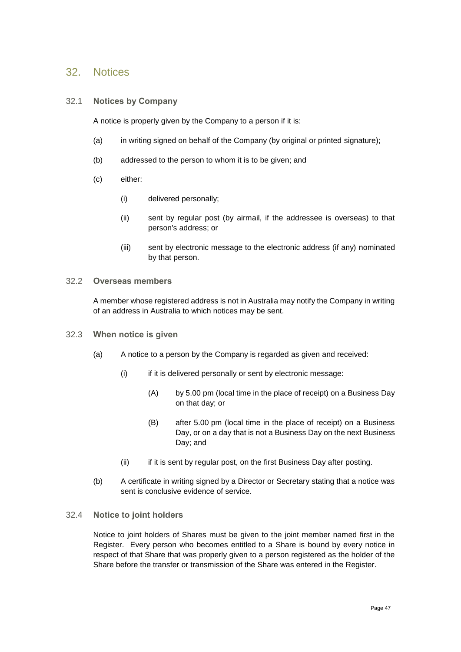## <span id="page-49-0"></span>32. Notices

#### <span id="page-49-1"></span>32.1 **Notices by Company**

A notice is properly given by the Company to a person if it is:

- (a) in writing signed on behalf of the Company (by original or printed signature);
- (b) addressed to the person to whom it is to be given; and
- (c) either:
	- (i) delivered personally;
	- (ii) sent by regular post (by airmail, if the addressee is overseas) to that person's address; or
	- (iii) sent by electronic message to the electronic address (if any) nominated by that person.

#### <span id="page-49-2"></span>32.2 **Overseas members**

A member whose registered address is not in Australia may notify the Company in writing of an address in Australia to which notices may be sent.

- 32.3 **When notice is given**
	- (a) A notice to a person by the Company is regarded as given and received:
		- (i) if it is delivered personally or sent by electronic message:
			- (A) by 5.00 pm (local time in the place of receipt) on a Business Day on that day; or
			- (B) after 5.00 pm (local time in the place of receipt) on a Business Day, or on a day that is not a Business Day on the next Business Day; and
		- (ii) if it is sent by regular post, on the first Business Day after posting.
	- (b) A certificate in writing signed by a Director or Secretary stating that a notice was sent is conclusive evidence of service.

#### 32.4 **Notice to joint holders**

<span id="page-49-3"></span>Notice to joint holders of Shares must be given to the joint member named first in the Register. Every person who becomes entitled to a Share is bound by every notice in respect of that Share that was properly given to a person registered as the holder of the Share before the transfer or transmission of the Share was entered in the Register.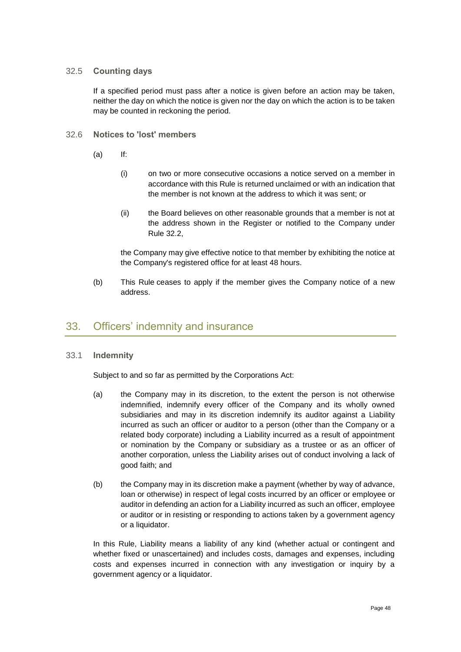## 32.5 **Counting days**

If a specified period must pass after a notice is given before an action may be taken, neither the day on which the notice is given nor the day on which the action is to be taken may be counted in reckoning the period.

- 32.6 **Notices to 'lost' members**
	- (a) If:
		- (i) on two or more consecutive occasions a notice served on a member in accordance with this Rule is returned unclaimed or with an indication that the member is not known at the address to which it was sent; or
		- (ii) the Board believes on other reasonable grounds that a member is not at the address shown in the Register or notified to the Company under Rule [32.2,](#page-49-2)

the Company may give effective notice to that member by exhibiting the notice at the Company's registered office for at least 48 hours.

(b) This Rule ceases to apply if the member gives the Company notice of a new address.

## <span id="page-50-0"></span>33. Officers' indemnity and insurance

### <span id="page-50-1"></span>33.1 **Indemnity**

Subject to and so far as permitted by the Corporations Act:

- (a) the Company may in its discretion, to the extent the person is not otherwise indemnified, indemnify every officer of the Company and its wholly owned subsidiaries and may in its discretion indemnify its auditor against a Liability incurred as such an officer or auditor to a person (other than the Company or a related body corporate) including a Liability incurred as a result of appointment or nomination by the Company or subsidiary as a trustee or as an officer of another corporation, unless the Liability arises out of conduct involving a lack of good faith; and
- (b) the Company may in its discretion make a payment (whether by way of advance, loan or otherwise) in respect of legal costs incurred by an officer or employee or auditor in defending an action for a Liability incurred as such an officer, employee or auditor or in resisting or responding to actions taken by a government agency or a liquidator.

In this Rule, Liability means a liability of any kind (whether actual or contingent and whether fixed or unascertained) and includes costs, damages and expenses, including costs and expenses incurred in connection with any investigation or inquiry by a government agency or a liquidator.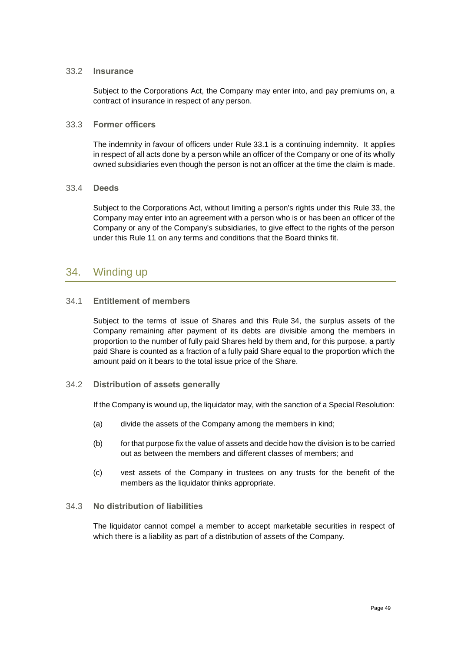#### 33.2 **Insurance**

Subject to the Corporations Act, the Company may enter into, and pay premiums on, a contract of insurance in respect of any person.

#### 33.3 **Former officers**

The indemnity in favour of officers under Rule [33.1](#page-50-1) is a continuing indemnity. It applies in respect of all acts done by a person while an officer of the Company or one of its wholly owned subsidiaries even though the person is not an officer at the time the claim is made.

#### 33.4 **Deeds**

Subject to the Corporations Act, without limiting a person's rights under this Rule [33,](#page-50-0) the Company may enter into an agreement with a person who is or has been an officer of the Company or any of the Company's subsidiaries, to give effect to the rights of the person under this Rule 11 on any terms and conditions that the Board thinks fit.

## <span id="page-51-0"></span>34. Winding up

## 34.1 **Entitlement of members**

Subject to the terms of issue of Shares and this Rule [34,](#page-51-0) the surplus assets of the Company remaining after payment of its debts are divisible among the members in proportion to the number of fully paid Shares held by them and, for this purpose, a partly paid Share is counted as a fraction of a fully paid Share equal to the proportion which the amount paid on it bears to the total issue price of the Share.

### <span id="page-51-1"></span>34.2 **Distribution of assets generally**

If the Company is wound up, the liquidator may, with the sanction of a Special Resolution:

- (a) divide the assets of the Company among the members in kind;
- (b) for that purpose fix the value of assets and decide how the division is to be carried out as between the members and different classes of members; and
- (c) vest assets of the Company in trustees on any trusts for the benefit of the members as the liquidator thinks appropriate.

## 34.3 **No distribution of liabilities**

The liquidator cannot compel a member to accept marketable securities in respect of which there is a liability as part of a distribution of assets of the Company.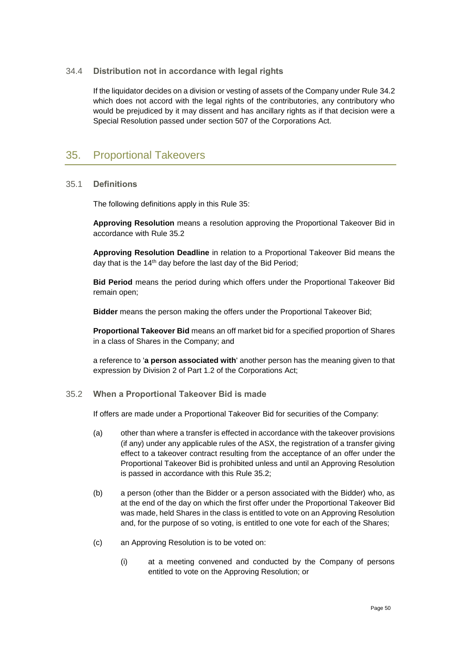## 34.4 **Distribution not in accordance with legal rights**

If the liquidator decides on a division or vesting of assets of the Company under Rule [34.2](#page-51-1) which does not accord with the legal rights of the contributories, any contributory who would be prejudiced by it may dissent and has ancillary rights as if that decision were a Special Resolution passed under section 507 of the Corporations Act.

## <span id="page-52-0"></span>35. Proportional Takeovers

### 35.1 **Definitions**

The following definitions apply in this Rule [35:](#page-52-0)

**Approving Resolution** means a resolution approving the Proportional Takeover Bid in accordance with Rule [35.2](#page-52-1)

**Approving Resolution Deadline** in relation to a Proportional Takeover Bid means the day that is the 14<sup>th</sup> day before the last day of the Bid Period;

**Bid Period** means the period during which offers under the Proportional Takeover Bid remain open;

**Bidder** means the person making the offers under the Proportional Takeover Bid;

**Proportional Takeover Bid** means an off market bid for a specified proportion of Shares in a class of Shares in the Company; and

a reference to '**a person associated with**' another person has the meaning given to that expression by Division 2 of Part 1.2 of the Corporations Act;

### <span id="page-52-1"></span>35.2 **When a Proportional Takeover Bid is made**

If offers are made under a Proportional Takeover Bid for securities of the Company:

- (a) other than where a transfer is effected in accordance with the takeover provisions (if any) under any applicable rules of the ASX, the registration of a transfer giving effect to a takeover contract resulting from the acceptance of an offer under the Proportional Takeover Bid is prohibited unless and until an Approving Resolution is passed in accordance with this Rule [35.2;](#page-52-1)
- (b) a person (other than the Bidder or a person associated with the Bidder) who, as at the end of the day on which the first offer under the Proportional Takeover Bid was made, held Shares in the class is entitled to vote on an Approving Resolution and, for the purpose of so voting, is entitled to one vote for each of the Shares;
- <span id="page-52-3"></span><span id="page-52-2"></span>(c) an Approving Resolution is to be voted on:
	- (i) at a meeting convened and conducted by the Company of persons entitled to vote on the Approving Resolution; or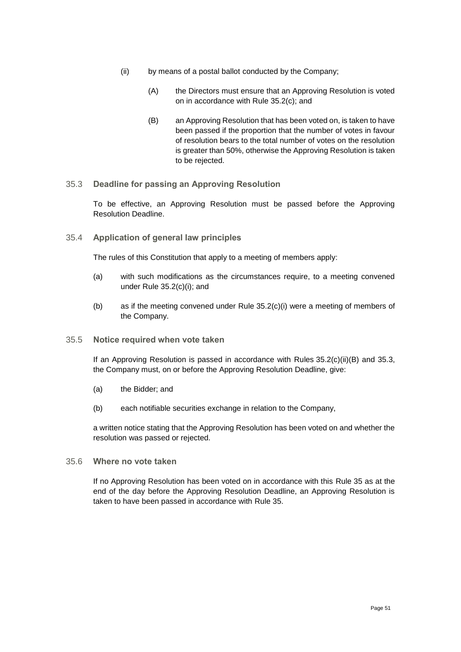- (ii) by means of a postal ballot conducted by the Company;
	- (A) the Directors must ensure that an Approving Resolution is voted on in accordance with Rule [35.2\(c\);](#page-52-2) and
	- (B) an Approving Resolution that has been voted on, is taken to have been passed if the proportion that the number of votes in favour of resolution bears to the total number of votes on the resolution is greater than 50%, otherwise the Approving Resolution is taken to be rejected.
- <span id="page-53-1"></span><span id="page-53-0"></span>35.3 **Deadline for passing an Approving Resolution**

To be effective, an Approving Resolution must be passed before the Approving Resolution Deadline.

35.4 **Application of general law principles**

The rules of this Constitution that apply to a meeting of members apply:

- (a) with such modifications as the circumstances require, to a meeting convened under Rule [35.2\(c\)\(i\);](#page-52-3) and
- (b) as if the meeting convened under Rule [35.2\(c\)\(i\)](#page-52-3) were a meeting of members of the Company.
- 35.5 **Notice required when vote taken**

If an Approving Resolution is passed in accordance with Rules [35.2\(c\)\(ii\)\(B\)](#page-53-0) and [35.3,](#page-53-1) the Company must, on or before the Approving Resolution Deadline, give:

- (a) the Bidder; and
- (b) each notifiable securities exchange in relation to the Company,

a written notice stating that the Approving Resolution has been voted on and whether the resolution was passed or rejected.

35.6 **Where no vote taken**

If no Approving Resolution has been voted on in accordance with this Rule [35](#page-52-0) as at the end of the day before the Approving Resolution Deadline, an Approving Resolution is taken to have been passed in accordance with Rule [35.](#page-52-0)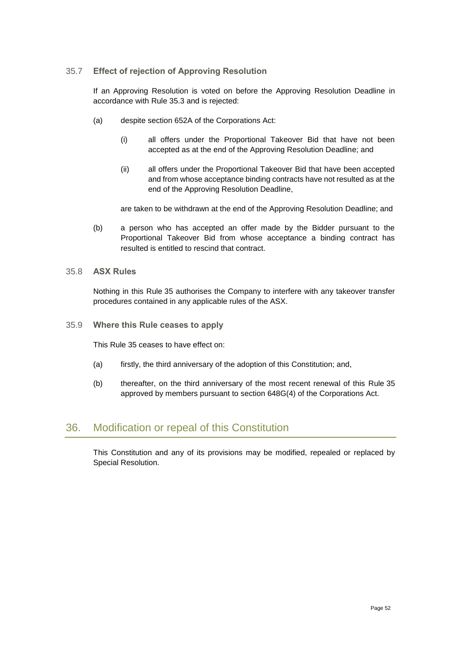## 35.7 **Effect of rejection of Approving Resolution**

If an Approving Resolution is voted on before the Approving Resolution Deadline in accordance with Rule [35.3](#page-53-1) and is rejected:

- (a) despite section 652A of the Corporations Act:
	- (i) all offers under the Proportional Takeover Bid that have not been accepted as at the end of the Approving Resolution Deadline; and
	- (ii) all offers under the Proportional Takeover Bid that have been accepted and from whose acceptance binding contracts have not resulted as at the end of the Approving Resolution Deadline,

are taken to be withdrawn at the end of the Approving Resolution Deadline; and

(b) a person who has accepted an offer made by the Bidder pursuant to the Proportional Takeover Bid from whose acceptance a binding contract has resulted is entitled to rescind that contract.

#### 35.8 **ASX Rules**

Nothing in this Rule [35](#page-52-0) authorises the Company to interfere with any takeover transfer procedures contained in any applicable rules of the ASX.

35.9 **Where this Rule ceases to apply**

This Rule [35](#page-52-0) ceases to have effect on:

- (a) firstly, the third anniversary of the adoption of this Constitution; and,
- (b) thereafter, on the third anniversary of the most recent renewal of this Rule [35](#page-52-0) approved by members pursuant to section 648G(4) of the Corporations Act.

## <span id="page-54-0"></span>36. Modification or repeal of this Constitution

This Constitution and any of its provisions may be modified, repealed or replaced by Special Resolution.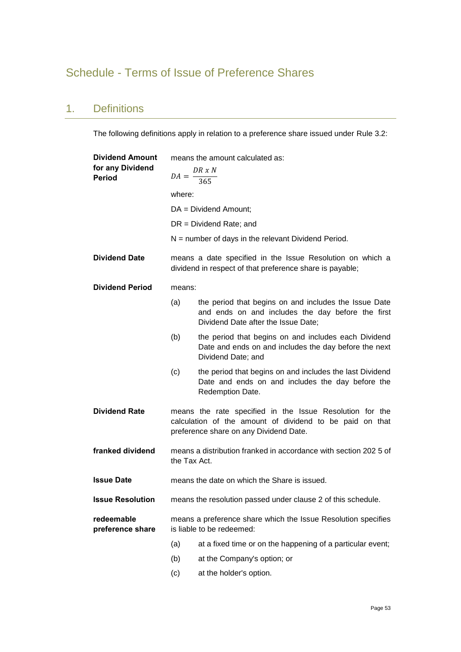# <span id="page-55-0"></span>Schedule - Terms of Issue of Preference Shares

## 1. Definitions

The following definitions apply in relation to a preference share issued under Rule [3.2:](#page-8-2)

| <b>Dividend Amount</b>            | means the amount calculated as:                                                                                       |                                                                                                                                                                |  |
|-----------------------------------|-----------------------------------------------------------------------------------------------------------------------|----------------------------------------------------------------------------------------------------------------------------------------------------------------|--|
| for any Dividend<br><b>Period</b> | $DA = \frac{DR \times N}{365}$                                                                                        |                                                                                                                                                                |  |
|                                   |                                                                                                                       |                                                                                                                                                                |  |
|                                   | where:                                                                                                                |                                                                                                                                                                |  |
|                                   |                                                                                                                       | $DA = Dividend$ Amount;                                                                                                                                        |  |
|                                   |                                                                                                                       | $DR = Dividend Rate; and$                                                                                                                                      |  |
|                                   |                                                                                                                       | $N =$ number of days in the relevant Dividend Period.                                                                                                          |  |
| <b>Dividend Date</b>              | means a date specified in the Issue Resolution on which a<br>dividend in respect of that preference share is payable; |                                                                                                                                                                |  |
| <b>Dividend Period</b>            | means:                                                                                                                |                                                                                                                                                                |  |
|                                   | (a)                                                                                                                   | the period that begins on and includes the Issue Date<br>and ends on and includes the day before the first<br>Dividend Date after the Issue Date;              |  |
|                                   | (b)                                                                                                                   | the period that begins on and includes each Dividend<br>Date and ends on and includes the day before the next<br>Dividend Date; and                            |  |
|                                   | (c)                                                                                                                   | the period that begins on and includes the last Dividend<br>Date and ends on and includes the day before the<br>Redemption Date.                               |  |
| <b>Dividend Rate</b>              |                                                                                                                       | means the rate specified in the Issue Resolution for the<br>calculation of the amount of dividend to be paid on that<br>preference share on any Dividend Date. |  |
| franked dividend                  | the Tax Act.                                                                                                          | means a distribution franked in accordance with section 202 5 of                                                                                               |  |
| <b>Issue Date</b>                 |                                                                                                                       | means the date on which the Share is issued.                                                                                                                   |  |
| <b>Issue Resolution</b>           |                                                                                                                       | means the resolution passed under clause 2 of this schedule.                                                                                                   |  |
| redeemable<br>preference share    | means a preference share which the Issue Resolution specifies<br>is liable to be redeemed:                            |                                                                                                                                                                |  |
|                                   | (a)                                                                                                                   | at a fixed time or on the happening of a particular event;                                                                                                     |  |
|                                   | (b)                                                                                                                   | at the Company's option; or                                                                                                                                    |  |
|                                   | (c)                                                                                                                   | at the holder's option.                                                                                                                                        |  |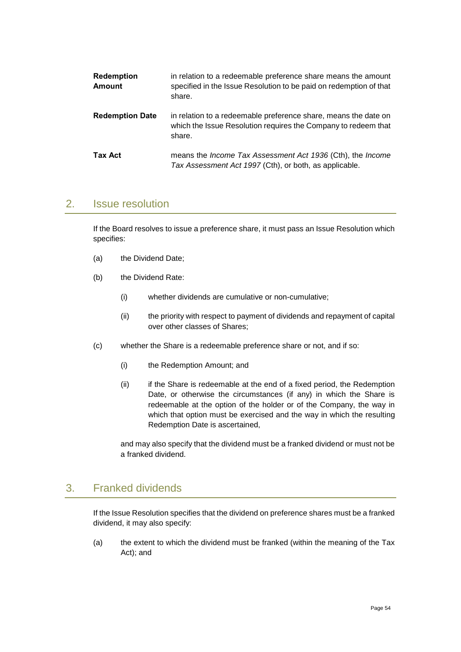| <b>Redemption</b><br><b>Amount</b> | in relation to a redeemable preference share means the amount<br>specified in the Issue Resolution to be paid on redemption of that<br>share. |
|------------------------------------|-----------------------------------------------------------------------------------------------------------------------------------------------|
| <b>Redemption Date</b>             | in relation to a redeemable preference share, means the date on<br>which the Issue Resolution requires the Company to redeem that<br>share.   |
| Tax Act                            | means the <i>Income Tax Assessment Act 1936</i> (Cth), the <i>Income</i><br>Tax Assessment Act 1997 (Cth), or both, as applicable.            |

## 2. Issue resolution

If the Board resolves to issue a preference share, it must pass an Issue Resolution which specifies:

- (a) the Dividend Date;
- (b) the Dividend Rate:
	- (i) whether dividends are cumulative or non-cumulative;
	- (ii) the priority with respect to payment of dividends and repayment of capital over other classes of Shares;
- (c) whether the Share is a redeemable preference share or not, and if so:
	- (i) the Redemption Amount; and
	- (ii) if the Share is redeemable at the end of a fixed period, the Redemption Date, or otherwise the circumstances (if any) in which the Share is redeemable at the option of the holder or of the Company, the way in which that option must be exercised and the way in which the resulting Redemption Date is ascertained,

and may also specify that the dividend must be a franked dividend or must not be a franked dividend.

## 3. Franked dividends

If the Issue Resolution specifies that the dividend on preference shares must be a franked dividend, it may also specify:

(a) the extent to which the dividend must be franked (within the meaning of the Tax Act); and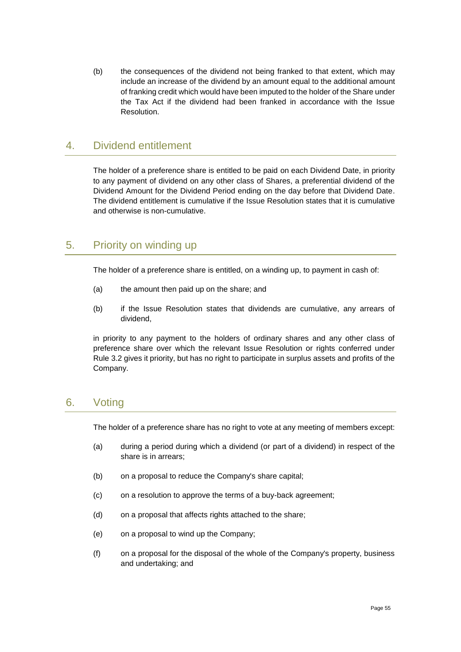(b) the consequences of the dividend not being franked to that extent, which may include an increase of the dividend by an amount equal to the additional amount of franking credit which would have been imputed to the holder of the Share under the Tax Act if the dividend had been franked in accordance with the Issue Resolution.

## 4. Dividend entitlement

The holder of a preference share is entitled to be paid on each Dividend Date, in priority to any payment of dividend on any other class of Shares, a preferential dividend of the Dividend Amount for the Dividend Period ending on the day before that Dividend Date. The dividend entitlement is cumulative if the Issue Resolution states that it is cumulative and otherwise is non-cumulative.

## 5. Priority on winding up

The holder of a preference share is entitled, on a winding up, to payment in cash of:

- (a) the amount then paid up on the share; and
- (b) if the Issue Resolution states that dividends are cumulative, any arrears of dividend,

in priority to any payment to the holders of ordinary shares and any other class of preference share over which the relevant Issue Resolution or rights conferred under Rule [3.2](#page-8-2) gives it priority, but has no right to participate in surplus assets and profits of the Company.

## 6. Voting

The holder of a preference share has no right to vote at any meeting of members except:

- (a) during a period during which a dividend (or part of a dividend) in respect of the share is in arrears;
- (b) on a proposal to reduce the Company's share capital;
- (c) on a resolution to approve the terms of a buy-back agreement;
- (d) on a proposal that affects rights attached to the share;
- (e) on a proposal to wind up the Company;
- (f) on a proposal for the disposal of the whole of the Company's property, business and undertaking; and